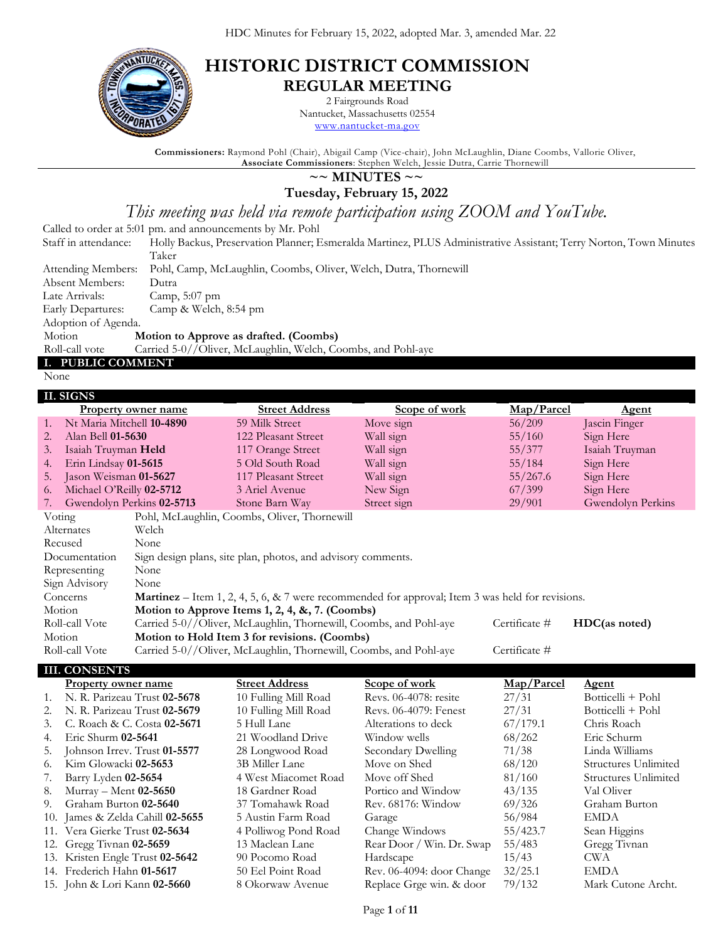

# **HISTORIC DISTRICT COMMISSION REGULAR MEETING**

2 Fairgrounds Road Nantucket, Massachusetts 02554

[www.nantucket-ma.gov](http://www.nantucket-ma.gov/)

**Commissioners:** Raymond Pohl (Chair), Abigail Camp (Vice-chair), John McLaughlin, Diane Coombs, Vallorie Oliver, **Associate Commissioners**: Stephen Welch, Jessie Dutra, Carrie Thornewill

## **~~ MINUTES ~~**

**Tuesday, February 15, 2022**

*This meeting was held via remote participation using ZOOM and YouTube.*

Called to order at 5:01 pm. and announcements by Mr. Pohl

Staff in attendance: Holly Backus, Preservation Planner; Esmeralda Martinez, PLUS Administrative Assistant; Terry Norton, Town Minutes Taker

|                 | Attending Members: Pohl, Camp, McLaughlin, Coombs, Oliver, Welch, Dutra, Thornewill |
|-----------------|-------------------------------------------------------------------------------------|
| Absent Members: | Dutra                                                                               |

Late Arrivals: Camp, 5:07 pm

Early Departures: Camp & Welch, 8:54 pm

Adoption of Agenda.

Motion **Motion to Approve as drafted. (Coombs)**

Roll-call vote Carried 5-0//Oliver, McLaughlin, Welch, Coombs, and Pohl-aye

#### **I. PUBLIC COMMENT**

None

### **II. SIGNS**

|        | 11. SIGNS                 |                                              |                                                                   |                                                                                                            |               |                   |  |
|--------|---------------------------|----------------------------------------------|-------------------------------------------------------------------|------------------------------------------------------------------------------------------------------------|---------------|-------------------|--|
|        |                           | <b>Property owner name</b>                   | <b>Street Address</b>                                             | <b>Scope of work</b>                                                                                       | Map/Parcel    | <u>Agent</u>      |  |
| 1.     | Nt Maria Mitchell 10-4890 |                                              | 59 Milk Street                                                    | Move sign                                                                                                  | 56/209        | Jascin Finger     |  |
| 2.     | Alan Bell 01-5630         |                                              | 122 Pleasant Street                                               | Wall sign                                                                                                  | 55/160        | Sign Here         |  |
| 3.     | Isaiah Truyman Held       |                                              | 117 Orange Street                                                 | Wall sign                                                                                                  | 55/377        | Isaiah Truyman    |  |
| 4.     | Erin Lindsay 01-5615      |                                              | 5 Old South Road                                                  | Wall sign                                                                                                  | 55/184        | Sign Here         |  |
| 5.     | Jason Weisman 01-5627     |                                              | 117 Pleasant Street                                               | Wall sign                                                                                                  | 55/267.6      | Sign Here         |  |
| 6.     | Michael O'Reilly 02-5712  |                                              | 3 Ariel Avenue                                                    | New Sign                                                                                                   | 67/399        | Sign Here         |  |
| 7.     | Gwendolyn Perkins 02-5713 |                                              | Stone Barn Way                                                    | Street sign                                                                                                | 29/901        | Gwendolyn Perkins |  |
| Voting |                           | Pohl, McLaughlin, Coombs, Oliver, Thornewill |                                                                   |                                                                                                            |               |                   |  |
|        | Alternates                | Welch                                        |                                                                   |                                                                                                            |               |                   |  |
|        | Recused                   | None                                         |                                                                   |                                                                                                            |               |                   |  |
|        | Documentation             |                                              | Sign design plans, site plan, photos, and advisory comments.      |                                                                                                            |               |                   |  |
|        | Representing              | None                                         |                                                                   |                                                                                                            |               |                   |  |
|        | Sign Advisory             | None                                         |                                                                   |                                                                                                            |               |                   |  |
|        | Concerns                  |                                              |                                                                   | <b>Martinez</b> – Item 1, 2, 4, 5, 6, $\&$ 7 were recommended for approval; Item 3 was held for revisions. |               |                   |  |
| Motion |                           |                                              | Motion to Approve Items 1, 2, 4, &, 7. (Coombs)                   |                                                                                                            |               |                   |  |
|        | Roll-call Vote            |                                              | Carried 5-0//Oliver, McLaughlin, Thornewill, Coombs, and Pohl-aye |                                                                                                            | Certificate # | HDC(as noted)     |  |
| Motion |                           |                                              | Motion to Hold Item 3 for revisions. (Coombs)                     |                                                                                                            |               |                   |  |
|        | Roll-call Vote            |                                              | Carried 5-0//Oliver, McLaughlin, Thornewill, Coombs, and Pohl-aye |                                                                                                            | Certificate # |                   |  |
|        |                           |                                              |                                                                   |                                                                                                            |               |                   |  |

#### **III. CONSENTS**

|           | Property owner name                     | <b>Street Address</b> | Scope of work             | Map/Parcel | <b>Agent</b>         |
|-----------|-----------------------------------------|-----------------------|---------------------------|------------|----------------------|
| $\sim$ 1. | N. R. Parizeau Trust 02-5678            | 10 Fulling Mill Road  | Revs. 06-4078: resite     | 27/31      | Botticelli + Pohl    |
| 2.        | N. R. Parizeau Trust 02-5679            | 10 Fulling Mill Road  | Revs. 06-4079: Fenest     | 27/31      | Botticelli + Pohl    |
| 3.        | C. Roach & C. Costa 02-5671             | 5 Hull Lane           | Alterations to deck       | 67/179.1   | Chris Roach          |
| 4.        | Eric Shurm 02-5641                      | 21 Woodland Drive     | Window wells              | 68/262     | Eric Schurm          |
| 5.        | Johnson Irrev. Trust 01-5577            | 28 Longwood Road      | Secondary Dwelling        | 71/38      | Linda Williams       |
| 6.        | Kim Glowacki 02-5653                    | 3B Miller Lane        | Move on Shed              | 68/120     | Structures Unlimited |
| 7.        | Barry Lyden 02-5654                     | 4 West Miacomet Road  | Move off Shed             | 81/160     | Structures Unlimited |
| 8.        | Murray - Ment 02-5650                   | 18 Gardner Road       | Portico and Window        | 43/135     | Val Oliver           |
| 9.        | Graham Burton 02-5640                   | 37 Tomahawk Road      | Rev. 68176: Window        | 69/326     | Graham Burton        |
|           | 10. James & Zelda Cahill <b>02-5655</b> | 5 Austin Farm Road    | Garage                    | 56/984     | EMDA                 |
|           | 11. Vera Gierke Trust 02-5634           | 4 Polliwog Pond Road  | Change Windows            | 55/423.7   | Sean Higgins         |
|           | 12. Gregg Tivnan 02-5659                | 13 Maclean Lane       | Rear Door / Win. Dr. Swap | 55/483     | Gregg Tivnan         |
|           | 13. Kristen Engle Trust 02-5642         | 90 Pocomo Road        | Hardscape                 | 15/43      | CWA                  |
|           | 14. Frederich Hahn 01-5617              | 50 Eel Point Road     | Rev. 06-4094: door Change | 32/25.1    | <b>EMDA</b>          |
|           | 15. John & Lori Kann 02-5660            | 8 Okorwaw Avenue      | Replace Grge win. & door  | 79/132     | Mark Cutone Archt.   |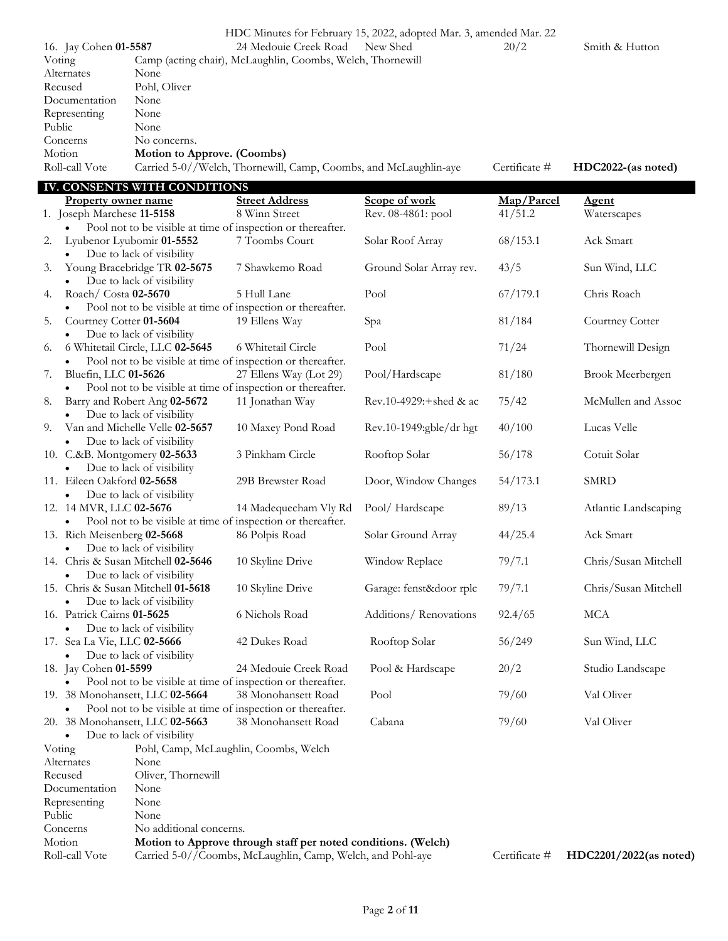|                                 |                                    | HDC Minutes for February 15, 2022, adopted Mar. 3, amended Mar. 22 |                            |               |                        |
|---------------------------------|------------------------------------|--------------------------------------------------------------------|----------------------------|---------------|------------------------|
| 16. Jay Cohen 01-5587           |                                    | 24 Medouie Creek Road                                              | New Shed                   | 20/2          | Smith & Hutton         |
| Voting                          |                                    | Camp (acting chair), McLaughlin, Coombs, Welch, Thornewill         |                            |               |                        |
| Alternates                      | None                               |                                                                    |                            |               |                        |
| Recused                         | Pohl, Oliver                       |                                                                    |                            |               |                        |
| Documentation                   | None                               |                                                                    |                            |               |                        |
| Representing                    | None                               |                                                                    |                            |               |                        |
| Public                          | None                               |                                                                    |                            |               |                        |
| Concerns                        | No concerns.                       |                                                                    |                            |               |                        |
| Motion                          | Motion to Approve. (Coombs)        |                                                                    |                            |               |                        |
| Roll-call Vote                  |                                    | Carried 5-0//Welch, Thornewill, Camp, Coombs, and McLaughlin-aye   |                            | Certificate # | HDC2022-(as noted)     |
|                                 | IV. CONSENTS WITH CONDITIONS       |                                                                    |                            |               |                        |
| <b>Property owner name</b>      |                                    | <b>Street Address</b>                                              | Scope of work              | Map/Parcel    | <u>Agent</u>           |
| 1. Joseph Marchese 11-5158      |                                    | 8 Winn Street                                                      | Rev. 08-4861: pool         | 41/51.2       | Waterscapes            |
|                                 |                                    | Pool not to be visible at time of inspection or thereafter.        |                            |               |                        |
| 2.                              | Lyubenor Lyubomir 01-5552          | 7 Toombs Court                                                     | Solar Roof Array           | 68/153.1      | Ack Smart              |
| $\bullet$                       | Due to lack of visibility          |                                                                    |                            |               |                        |
| 3.                              | Young Bracebridge TR 02-5675       | 7 Shawkemo Road                                                    | Ground Solar Array rev.    | 43/5          | Sun Wind, LLC          |
|                                 | Due to lack of visibility          |                                                                    |                            |               |                        |
| Roach/ Costa 02-5670<br>4.      |                                    | 5 Hull Lane                                                        | Pool                       | 67/179.1      | Chris Roach            |
|                                 |                                    | Pool not to be visible at time of inspection or thereafter.        |                            |               |                        |
| Courtney Cotter 01-5604<br>5.   |                                    | 19 Ellens Way                                                      | Spa                        | 81/184        | Courtney Cotter        |
|                                 | Due to lack of visibility          |                                                                    |                            |               |                        |
| 6.                              | 6 Whitetail Circle, LLC 02-5645    | 6 Whitetail Circle                                                 | Pool                       | 71/24         | Thornewill Design      |
| $\bullet$                       |                                    | Pool not to be visible at time of inspection or thereafter.        |                            |               |                        |
| Bluefin, LLC 01-5626<br>7.      |                                    | 27 Ellens Way (Lot 29)                                             | Pool/Hardscape             | 81/180        | Brook Meerbergen       |
| $\bullet$                       |                                    | Pool not to be visible at time of inspection or thereafter.        |                            |               |                        |
| 8.                              | Barry and Robert Ang 02-5672       | 11 Jonathan Way                                                    | Rev.10-4929: $+$ shed & ac | 75/42         | McMullen and Assoc     |
| $\bullet$                       | Due to lack of visibility          |                                                                    |                            |               |                        |
| 9.                              | Van and Michelle Velle 02-5657     | 10 Maxey Pond Road                                                 | Rev.10-1949:gble/dr hgt    | 40/100        | Lucas Velle            |
|                                 | Due to lack of visibility          |                                                                    |                            |               |                        |
| 10. C.&B. Montgomery 02-5633    |                                    | 3 Pinkham Circle                                                   | Rooftop Solar              | 56/178        | Cotuit Solar           |
| $\bullet$                       | Due to lack of visibility          |                                                                    |                            |               |                        |
| 11. Eileen Oakford 02-5658      |                                    | 29B Brewster Road                                                  | Door, Window Changes       | 54/173.1      | <b>SMRD</b>            |
|                                 | Due to lack of visibility          |                                                                    |                            |               |                        |
| 12. 14 MVR, LLC 02-5676         |                                    | 14 Madequecham Vly Rd                                              | Pool/Hardscape             | 89/13         | Atlantic Landscaping   |
|                                 |                                    | Pool not to be visible at time of inspection or thereafter.        |                            |               |                        |
| 13. Rich Meisenberg 02-5668     |                                    | 86 Polpis Road                                                     | Solar Ground Array         | 44/25.4       | Ack Smart              |
| $\bullet$                       | Due to lack of visibility          |                                                                    |                            |               |                        |
|                                 | 14. Chris & Susan Mitchell 02-5646 | 10 Skyline Drive                                                   | Window Replace             | 79/7.1        | Chris/Susan Mitchell   |
| $\bullet$                       | Due to lack of visibility          |                                                                    |                            |               |                        |
|                                 | 15. Chris & Susan Mitchell 01-5618 | 10 Skyline Drive                                                   | Garage: fenst&door rplc    | 79/7.1        | Chris/Susan Mitchell   |
|                                 | Due to lack of visibility          |                                                                    |                            |               |                        |
| 16. Patrick Cairns 01-5625      |                                    | 6 Nichols Road                                                     | Additions/Renovations      | 92.4/65       | <b>MCA</b>             |
|                                 | Due to lack of visibility          |                                                                    |                            |               |                        |
| 17. Sea La Vie, LLC 02-5666     |                                    | 42 Dukes Road                                                      | Rooftop Solar              | 56/249        | Sun Wind, LLC          |
|                                 | Due to lack of visibility          |                                                                    |                            |               |                        |
| 18. Jay Cohen 01-5599           |                                    | 24 Medouie Creek Road                                              | Pool & Hardscape           | 20/2          | Studio Landscape       |
|                                 |                                    | Pool not to be visible at time of inspection or thereafter.        |                            |               |                        |
| 19. 38 Monohansett, LLC 02-5664 |                                    | 38 Monohansett Road                                                | Pool                       | 79/60         | Val Oliver             |
|                                 |                                    | Pool not to be visible at time of inspection or thereafter.        |                            |               |                        |
| 20. 38 Monohansett, LLC 02-5663 |                                    | 38 Monohansett Road                                                | Cabana                     | 79/60         | Val Oliver             |
|                                 | Due to lack of visibility          |                                                                    |                            |               |                        |
| Voting                          |                                    | Pohl, Camp, McLaughlin, Coombs, Welch                              |                            |               |                        |
| Alternates                      | None                               |                                                                    |                            |               |                        |
| Recused                         | Oliver, Thornewill                 |                                                                    |                            |               |                        |
| Documentation                   | None                               |                                                                    |                            |               |                        |
| Representing                    | None                               |                                                                    |                            |               |                        |
| Public                          | None                               |                                                                    |                            |               |                        |
| Concerns                        | No additional concerns.            |                                                                    |                            |               |                        |
| Motion                          |                                    | Motion to Approve through staff per noted conditions. (Welch)      |                            |               |                        |
| Roll-call Vote                  |                                    | Carried 5-0//Coombs, McLaughlin, Camp, Welch, and Pohl-aye         |                            | Certificate # | HDC2201/2022(as noted) |
|                                 |                                    |                                                                    |                            |               |                        |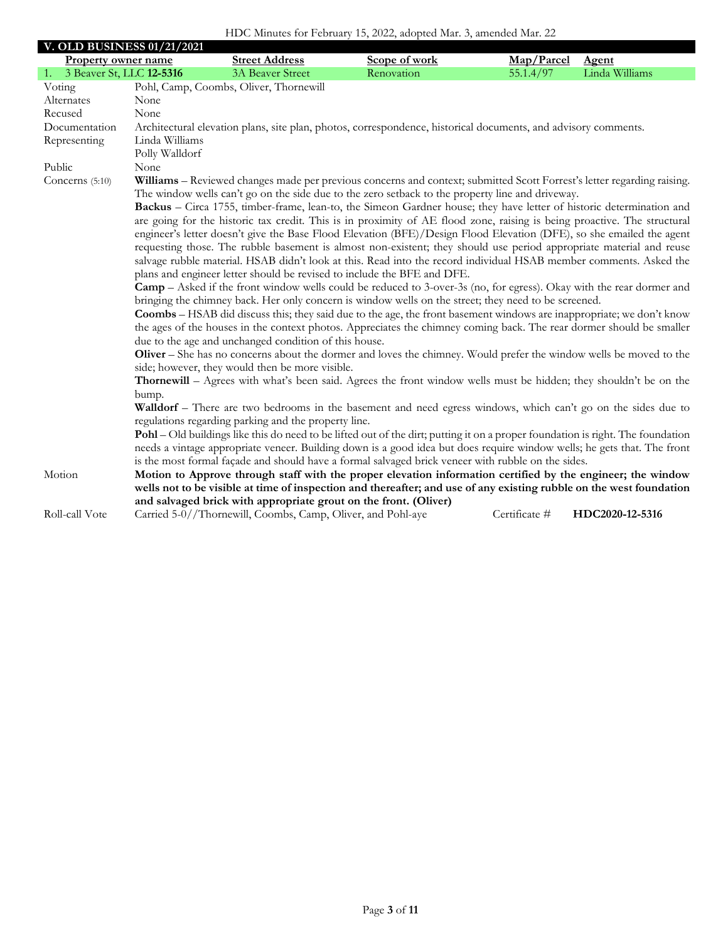## HDC Minutes for February 15, 2022, adopted Mar. 3, amended Mar. 22

| <b>V. OLD BUSINESS 01/21/2021</b> |                                                                                                                |                                                                                                                                                                                                                                                      |               |               |                 |  |  |  |
|-----------------------------------|----------------------------------------------------------------------------------------------------------------|------------------------------------------------------------------------------------------------------------------------------------------------------------------------------------------------------------------------------------------------------|---------------|---------------|-----------------|--|--|--|
| <b>Property owner name</b>        |                                                                                                                | <b>Street Address</b>                                                                                                                                                                                                                                | Scope of work | Map/Parcel    | <b>Agent</b>    |  |  |  |
| 1. 3 Beaver St, LLC 12-5316       |                                                                                                                | <b>3A Beaver Street</b>                                                                                                                                                                                                                              | Renovation    | 55.1.4/97     | Linda Williams  |  |  |  |
| Voting                            |                                                                                                                | Pohl, Camp, Coombs, Oliver, Thornewill                                                                                                                                                                                                               |               |               |                 |  |  |  |
| Alternates                        | None                                                                                                           |                                                                                                                                                                                                                                                      |               |               |                 |  |  |  |
| Recused                           | None                                                                                                           |                                                                                                                                                                                                                                                      |               |               |                 |  |  |  |
| Documentation                     | Architectural elevation plans, site plan, photos, correspondence, historical documents, and advisory comments. |                                                                                                                                                                                                                                                      |               |               |                 |  |  |  |
| Representing                      | Linda Williams                                                                                                 |                                                                                                                                                                                                                                                      |               |               |                 |  |  |  |
|                                   | Polly Walldorf                                                                                                 |                                                                                                                                                                                                                                                      |               |               |                 |  |  |  |
| Public                            | None                                                                                                           |                                                                                                                                                                                                                                                      |               |               |                 |  |  |  |
| Concerns (5:10)                   |                                                                                                                | Williams - Reviewed changes made per previous concerns and context; submitted Scott Forrest's letter regarding raising.                                                                                                                              |               |               |                 |  |  |  |
|                                   |                                                                                                                | The window wells can't go on the side due to the zero setback to the property line and driveway.                                                                                                                                                     |               |               |                 |  |  |  |
|                                   |                                                                                                                | Backus – Circa 1755, timber-frame, lean-to, the Simeon Gardner house; they have letter of historic determination and                                                                                                                                 |               |               |                 |  |  |  |
|                                   |                                                                                                                | are going for the historic tax credit. This is in proximity of AE flood zone, raising is being proactive. The structural                                                                                                                             |               |               |                 |  |  |  |
|                                   |                                                                                                                | engineer's letter doesn't give the Base Flood Elevation (BFE)/Design Flood Elevation (DFE), so she emailed the agent                                                                                                                                 |               |               |                 |  |  |  |
|                                   |                                                                                                                | requesting those. The rubble basement is almost non-existent; they should use period appropriate material and reuse                                                                                                                                  |               |               |                 |  |  |  |
|                                   |                                                                                                                | salvage rubble material. HSAB didn't look at this. Read into the record individual HSAB member comments. Asked the                                                                                                                                   |               |               |                 |  |  |  |
|                                   |                                                                                                                | plans and engineer letter should be revised to include the BFE and DFE.                                                                                                                                                                              |               |               |                 |  |  |  |
|                                   |                                                                                                                | <b>Camp</b> – Asked if the front window wells could be reduced to 3-over-3s (no, for egress). Okay with the rear dormer and                                                                                                                          |               |               |                 |  |  |  |
|                                   |                                                                                                                | bringing the chimney back. Her only concern is window wells on the street; they need to be screened.                                                                                                                                                 |               |               |                 |  |  |  |
|                                   |                                                                                                                | <b>Coombs</b> – HSAB did discuss this; they said due to the age, the front basement windows are inappropriate; we don't know<br>the ages of the houses in the context photos. Appreciates the chimney coming back. The rear dormer should be smaller |               |               |                 |  |  |  |
|                                   |                                                                                                                | due to the age and unchanged condition of this house.                                                                                                                                                                                                |               |               |                 |  |  |  |
|                                   |                                                                                                                | Oliver – She has no concerns about the dormer and loves the chimney. Would prefer the window wells be moved to the                                                                                                                                   |               |               |                 |  |  |  |
|                                   |                                                                                                                | side; however, they would then be more visible.                                                                                                                                                                                                      |               |               |                 |  |  |  |
|                                   |                                                                                                                | Thornewill – Agrees with what's been said. Agrees the front window wells must be hidden; they shouldn't be on the                                                                                                                                    |               |               |                 |  |  |  |
|                                   | bump.                                                                                                          |                                                                                                                                                                                                                                                      |               |               |                 |  |  |  |
|                                   |                                                                                                                | Walldorf - There are two bedrooms in the basement and need egress windows, which can't go on the sides due to                                                                                                                                        |               |               |                 |  |  |  |
|                                   |                                                                                                                | regulations regarding parking and the property line.                                                                                                                                                                                                 |               |               |                 |  |  |  |
|                                   |                                                                                                                | Pohl – Old buildings like this do need to be lifted out of the dirt; putting it on a proper foundation is right. The foundation                                                                                                                      |               |               |                 |  |  |  |
|                                   |                                                                                                                | needs a vintage appropriate veneer. Building down is a good idea but does require window wells; he gets that. The front                                                                                                                              |               |               |                 |  |  |  |
|                                   |                                                                                                                | is the most formal façade and should have a formal salvaged brick veneer with rubble on the sides.                                                                                                                                                   |               |               |                 |  |  |  |
| Motion                            |                                                                                                                | Motion to Approve through staff with the proper elevation information certified by the engineer; the window                                                                                                                                          |               |               |                 |  |  |  |
|                                   |                                                                                                                | wells not to be visible at time of inspection and thereafter; and use of any existing rubble on the west foundation                                                                                                                                  |               |               |                 |  |  |  |
|                                   |                                                                                                                | and salvaged brick with appropriate grout on the front. (Oliver)                                                                                                                                                                                     |               |               |                 |  |  |  |
| Roll-call Vote                    |                                                                                                                | Carried 5-0//Thornewill, Coombs, Camp, Oliver, and Pohl-aye                                                                                                                                                                                          |               | Certificate # | HDC2020-12-5316 |  |  |  |
|                                   |                                                                                                                |                                                                                                                                                                                                                                                      |               |               |                 |  |  |  |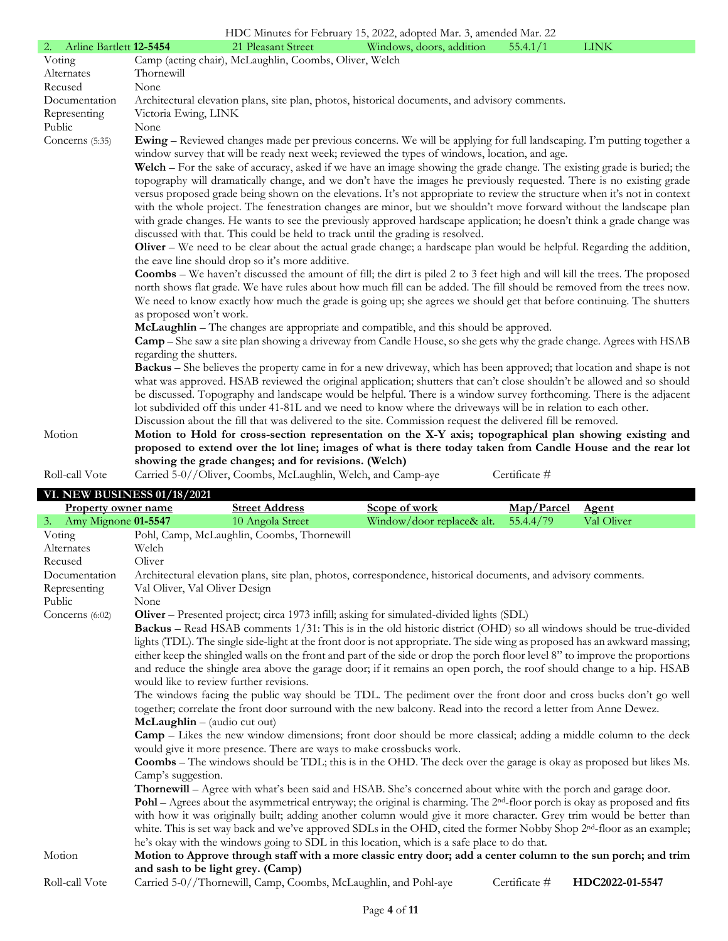|                                    |                               |                                                              | HDC Minutes for February 15, 2022, adopted Mar. 3, amended Mar. 22                                                                                                                                                            |               |             |  |
|------------------------------------|-------------------------------|--------------------------------------------------------------|-------------------------------------------------------------------------------------------------------------------------------------------------------------------------------------------------------------------------------|---------------|-------------|--|
| Arline Bartlett 12-5454<br>2.      |                               | 21 Pleasant Street                                           | Windows, doors, addition                                                                                                                                                                                                      | 55.4.1/1      | <b>LINK</b> |  |
| Voting                             |                               | Camp (acting chair), McLaughlin, Coombs, Oliver, Welch       |                                                                                                                                                                                                                               |               |             |  |
| Alternates                         | Thornewill                    |                                                              |                                                                                                                                                                                                                               |               |             |  |
| Recused                            | None                          |                                                              |                                                                                                                                                                                                                               |               |             |  |
| Documentation                      |                               |                                                              | Architectural elevation plans, site plan, photos, historical documents, and advisory comments.                                                                                                                                |               |             |  |
| Representing                       | Victoria Ewing, LINK          |                                                              |                                                                                                                                                                                                                               |               |             |  |
| Public                             | None                          |                                                              |                                                                                                                                                                                                                               |               |             |  |
| Concerns (5:35)                    |                               |                                                              | <b>Ewing</b> – Reviewed changes made per previous concerns. We will be applying for full landscaping. I'm putting together a<br>window survey that will be ready next week; reviewed the types of windows, location, and age. |               |             |  |
|                                    |                               |                                                              | Welch – For the sake of accuracy, asked if we have an image showing the grade change. The existing grade is buried; the                                                                                                       |               |             |  |
|                                    |                               |                                                              | topography will dramatically change, and we don't have the images he previously requested. There is no existing grade                                                                                                         |               |             |  |
|                                    |                               |                                                              | versus proposed grade being shown on the elevations. It's not appropriate to review the structure when it's not in context                                                                                                    |               |             |  |
|                                    |                               |                                                              | with the whole project. The fenestration changes are minor, but we shouldn't move forward without the landscape plan                                                                                                          |               |             |  |
|                                    |                               |                                                              | with grade changes. He wants to see the previously approved hardscape application; he doesn't think a grade change was                                                                                                        |               |             |  |
|                                    |                               |                                                              | discussed with that. This could be held to track until the grading is resolved.                                                                                                                                               |               |             |  |
|                                    |                               |                                                              | Oliver – We need to be clear about the actual grade change; a hardscape plan would be helpful. Regarding the addition,                                                                                                        |               |             |  |
|                                    |                               | the eave line should drop so it's more additive.             |                                                                                                                                                                                                                               |               |             |  |
|                                    |                               |                                                              | <b>Coombs</b> – We haven't discussed the amount of fill; the dirt is piled 2 to 3 feet high and will kill the trees. The proposed                                                                                             |               |             |  |
|                                    |                               |                                                              | north shows flat grade. We have rules about how much fill can be added. The fill should be removed from the trees now.                                                                                                        |               |             |  |
|                                    |                               |                                                              | We need to know exactly how much the grade is going up; she agrees we should get that before continuing. The shutters                                                                                                         |               |             |  |
|                                    | as proposed won't work.       |                                                              |                                                                                                                                                                                                                               |               |             |  |
|                                    |                               |                                                              | McLaughlin – The changes are appropriate and compatible, and this should be approved.                                                                                                                                         |               |             |  |
|                                    |                               |                                                              | Camp – She saw a site plan showing a driveway from Candle House, so she gets why the grade change. Agrees with HSAB                                                                                                           |               |             |  |
|                                    | regarding the shutters.       |                                                              |                                                                                                                                                                                                                               |               |             |  |
|                                    |                               |                                                              | <b>Backus</b> – She believes the property came in for a new driveway, which has been approved; that location and shape is not                                                                                                 |               |             |  |
|                                    |                               |                                                              | what was approved. HSAB reviewed the original application; shutters that can't close shouldn't be allowed and so should                                                                                                       |               |             |  |
|                                    |                               |                                                              | be discussed. Topography and landscape would be helpful. There is a window survey forthcoming. There is the adjacent                                                                                                          |               |             |  |
|                                    |                               |                                                              | lot subdivided off this under 41-81L and we need to know where the driveways will be in relation to each other.                                                                                                               |               |             |  |
|                                    |                               |                                                              | Discussion about the fill that was delivered to the site. Commission request the delivered fill be removed.                                                                                                                   |               |             |  |
| Motion                             |                               |                                                              | Motion to Hold for cross-section representation on the X-Y axis; topographical plan showing existing and                                                                                                                      |               |             |  |
|                                    |                               |                                                              | proposed to extend over the lot line; images of what is there today taken from Candle House and the rear lot                                                                                                                  |               |             |  |
|                                    |                               | showing the grade changes; and for revisions. (Welch)        |                                                                                                                                                                                                                               |               |             |  |
| Roll-call Vote                     |                               | Carried 5-0//Oliver, Coombs, McLaughlin, Welch, and Camp-aye |                                                                                                                                                                                                                               | Certificate # |             |  |
| <b>VI. NEW BUSINESS 01/18/2021</b> |                               |                                                              |                                                                                                                                                                                                                               |               |             |  |
| <b>Property owner name</b>         |                               | <b>Street Address</b>                                        | Scope of work                                                                                                                                                                                                                 | Map/Parcel    | Agent       |  |
| 3. Amy Mignone 01-5547             |                               | 10 Angola Street                                             | Window/door replace& alt.                                                                                                                                                                                                     | 55.4.4/79     | Val Oliver  |  |
| Voting                             |                               | Pohl, Camp, McLaughlin, Coombs, Thornewill                   |                                                                                                                                                                                                                               |               |             |  |
| Alternates                         | Welch                         |                                                              |                                                                                                                                                                                                                               |               |             |  |
| Recused                            | Oliver                        |                                                              |                                                                                                                                                                                                                               |               |             |  |
| Documentation                      |                               |                                                              | Architectural elevation plans, site plan, photos, correspondence, historical documents, and advisory comments.                                                                                                                |               |             |  |
| Representing                       | Val Oliver, Val Oliver Design |                                                              |                                                                                                                                                                                                                               |               |             |  |
| Public                             | None                          |                                                              |                                                                                                                                                                                                                               |               |             |  |
| Concerns $(6:02)$                  |                               |                                                              | Oliver - Presented project; circa 1973 infill; asking for simulated-divided lights (SDL)                                                                                                                                      |               |             |  |
|                                    |                               |                                                              | <b>Backus</b> – Read HSAB comments 1/31: This is in the old historic district (OHD) so all windows should be true-divided                                                                                                     |               |             |  |
|                                    |                               |                                                              | lights (TDL). The single side-light at the front door is not appropriate. The side wing as proposed has an awkward massing;                                                                                                   |               |             |  |

lights (TDL). The single side-light at the front door is not appropriate. The side wing as proposed has an awkward massing; either keep the shingled walls on the front and part of the side or drop the porch floor level 8" to improve the proportions and reduce the shingle area above the garage door; if it remains an open porch, the roof should change to a hip. HSAB would like to review further revisions.

The windows facing the public way should be TDL. The pediment over the front door and cross bucks don't go well together; correlate the front door surround with the new balcony. Read into the record a letter from Anne Dewez. **McLaughlin** – (audio cut out)

**Camp** – Likes the new window dimensions; front door should be more classical; adding a middle column to the deck would give it more presence. There are ways to make crossbucks work.

**Coombs** – The windows should be TDL; this is in the OHD. The deck over the garage is okay as proposed but likes Ms. Camp's suggestion.

**Thornewill** – Agree with what's been said and HSAB. She's concerned about white with the porch and garage door. **Pohl** – Agrees about the asymmetrical entryway; the original is charming. The 2<sup>nd</sup>-floor porch is okay as proposed and fits with how it was originally built; adding another column would give it more character. Grey trim would be better than white. This is set way back and we've approved SDLs in the OHD, cited the former Nobby Shop 2<sup>nd</sup>-floor as an example;

he's okay with the windows going to SDL in this location, which is a safe place to do that. Motion **Motion to Approve through staff with a more classic entry door; add a center column to the sun porch; and trim and sash to be light grey. (Camp)**

Roll-call Vote Carried 5-0//Thornewill, Camp, Coombs, McLaughlin, and Pohl-aye Certificate # **HDC2022-01-5547**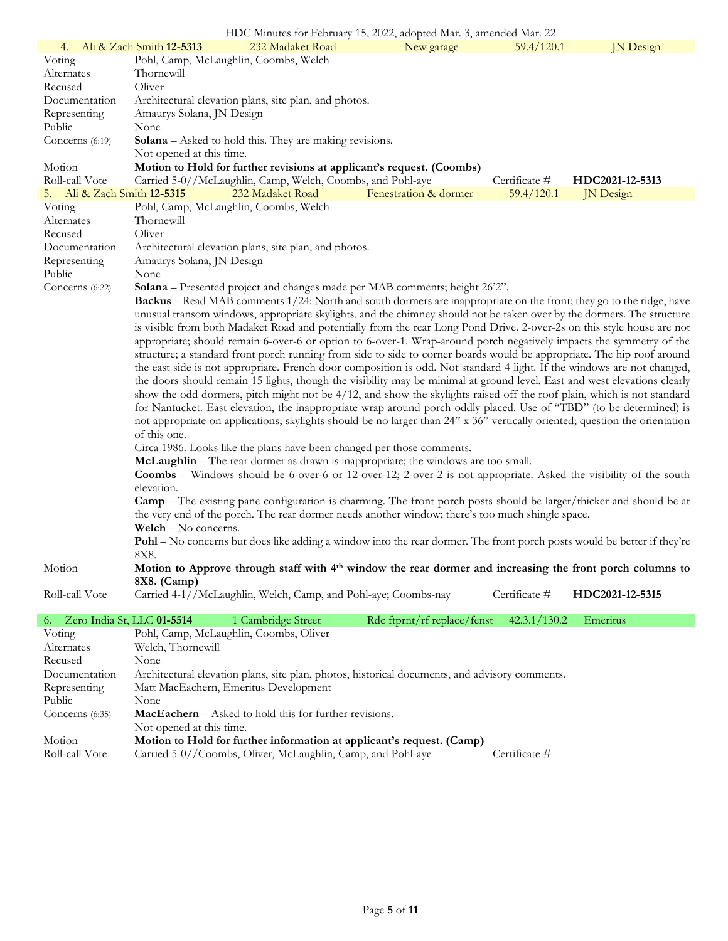|                             |                            | HDC Minutes for February 15, 2022, adopted Mar. 3, amended Mar. 22                                                                                                                                                                                 |                             |               |                  |
|-----------------------------|----------------------------|----------------------------------------------------------------------------------------------------------------------------------------------------------------------------------------------------------------------------------------------------|-----------------------------|---------------|------------------|
| 4.                          | Ali & Zach Smith 12-5313   | 232 Madaket Road                                                                                                                                                                                                                                   | New garage                  | 59.4/120.1    | <b>JN</b> Design |
| Voting                      |                            | Pohl, Camp, McLaughlin, Coombs, Welch                                                                                                                                                                                                              |                             |               |                  |
| Alternates                  | Thornewill                 |                                                                                                                                                                                                                                                    |                             |               |                  |
| Recused                     | Oliver                     |                                                                                                                                                                                                                                                    |                             |               |                  |
| Documentation               |                            | Architectural elevation plans, site plan, and photos.                                                                                                                                                                                              |                             |               |                  |
| Representing                | Amaurys Solana, JN Design  |                                                                                                                                                                                                                                                    |                             |               |                  |
| Public                      | None                       |                                                                                                                                                                                                                                                    |                             |               |                  |
| Concerns (6:19)             |                            | <b>Solana</b> – Asked to hold this. They are making revisions.                                                                                                                                                                                     |                             |               |                  |
|                             | Not opened at this time.   |                                                                                                                                                                                                                                                    |                             |               |                  |
| Motion                      |                            | Motion to Hold for further revisions at applicant's request. (Coombs)                                                                                                                                                                              |                             |               |                  |
| Roll-call Vote              |                            | Carried 5-0//McLaughlin, Camp, Welch, Coombs, and Pohl-aye                                                                                                                                                                                         |                             | Certificate # | HDC2021-12-5313  |
| 5. Ali & Zach Smith 12-5315 |                            | 232 Madaket Road                                                                                                                                                                                                                                   | Fenestration & dormer       | 59.4/120.1    | <b>JN</b> Design |
| Voting                      |                            | Pohl, Camp, McLaughlin, Coombs, Welch                                                                                                                                                                                                              |                             |               |                  |
| Alternates                  | Thornewill                 |                                                                                                                                                                                                                                                    |                             |               |                  |
| Recused                     | Oliver                     |                                                                                                                                                                                                                                                    |                             |               |                  |
| Documentation               |                            | Architectural elevation plans, site plan, and photos.                                                                                                                                                                                              |                             |               |                  |
| Representing                | Amaurys Solana, JN Design  |                                                                                                                                                                                                                                                    |                             |               |                  |
| Public                      | None                       |                                                                                                                                                                                                                                                    |                             |               |                  |
| Concerns (6:22)             |                            | Solana - Presented project and changes made per MAB comments; height 26'2".                                                                                                                                                                        |                             |               |                  |
|                             |                            | <b>Backus</b> – Read MAB comments 1/24: North and south dormers are inappropriate on the front; they go to the ridge, have                                                                                                                         |                             |               |                  |
|                             |                            | unusual transom windows, appropriate skylights, and the chimney should not be taken over by the dormers. The structure                                                                                                                             |                             |               |                  |
|                             |                            | is visible from both Madaket Road and potentially from the rear Long Pond Drive. 2-over-2s on this style house are not                                                                                                                             |                             |               |                  |
|                             |                            | appropriate; should remain 6-over-6 or option to 6-over-1. Wrap-around porch negatively impacts the symmetry of the                                                                                                                                |                             |               |                  |
|                             |                            | structure; a standard front porch running from side to side to corner boards would be appropriate. The hip roof around                                                                                                                             |                             |               |                  |
|                             |                            | the east side is not appropriate. French door composition is odd. Not standard 4 light. If the windows are not changed,                                                                                                                            |                             |               |                  |
|                             |                            | the doors should remain 15 lights, though the visibility may be minimal at ground level. East and west elevations clearly                                                                                                                          |                             |               |                  |
|                             |                            | show the odd dormers, pitch might not be 4/12, and show the skylights raised off the roof plain, which is not standard                                                                                                                             |                             |               |                  |
|                             |                            | for Nantucket. East elevation, the inappropriate wrap around porch oddly placed. Use of "TBD" (to be determined) is<br>not appropriate on applications; skylights should be no larger than 24" x 36" vertically oriented; question the orientation |                             |               |                  |
|                             | of this one.               |                                                                                                                                                                                                                                                    |                             |               |                  |
|                             |                            | Circa 1986. Looks like the plans have been changed per those comments.                                                                                                                                                                             |                             |               |                  |
|                             |                            | McLaughlin - The rear dormer as drawn is inappropriate; the windows are too small.                                                                                                                                                                 |                             |               |                  |
|                             |                            | <b>Coombs</b> – Windows should be 6-over-6 or 12-over-12; 2-over-2 is not appropriate. Asked the visibility of the south                                                                                                                           |                             |               |                  |
|                             | elevation.                 |                                                                                                                                                                                                                                                    |                             |               |                  |
|                             |                            | <b>Camp</b> – The existing pane configuration is charming. The front porch posts should be larger/thicker and should be at                                                                                                                         |                             |               |                  |
|                             |                            | the very end of the porch. The rear dormer needs another window; there's too much shingle space.                                                                                                                                                   |                             |               |                  |
|                             | $Weich - No concerns.$     |                                                                                                                                                                                                                                                    |                             |               |                  |
|                             |                            | Pohl – No concerns but does like adding a window into the rear dormer. The front porch posts would be better if they're                                                                                                                            |                             |               |                  |
|                             | 8X8.                       |                                                                                                                                                                                                                                                    |                             |               |                  |
| Motion                      |                            | Motion to Approve through staff with 4 <sup>th</sup> window the rear dormer and increasing the front porch columns to                                                                                                                              |                             |               |                  |
|                             | 8X8. (Camp)                |                                                                                                                                                                                                                                                    |                             |               |                  |
| Roll-call Vote              |                            | Carried 4-1//McLaughlin, Welch, Camp, and Pohl-aye; Coombs-nay                                                                                                                                                                                     |                             | Certificate # | HDC2021-12-5315  |
|                             |                            |                                                                                                                                                                                                                                                    |                             |               |                  |
| 6.                          | Zero India St, LLC 01-5514 | 1 Cambridge Street                                                                                                                                                                                                                                 | Rdc ftprnt/rf replace/fenst | 42.3.1/130.2  | Emeritus         |
| Voting                      |                            | Pohl, Camp, McLaughlin, Coombs, Oliver                                                                                                                                                                                                             |                             |               |                  |
| Alternates                  | Welch, Thornewill          |                                                                                                                                                                                                                                                    |                             |               |                  |
| Recused                     | None                       |                                                                                                                                                                                                                                                    |                             |               |                  |
| Documentation               |                            | Architectural elevation plans, site plan, photos, historical documents, and advisory comments.                                                                                                                                                     |                             |               |                  |
| Representing<br>Public      | None                       | Matt MacEachern, Emeritus Development                                                                                                                                                                                                              |                             |               |                  |
|                             |                            |                                                                                                                                                                                                                                                    |                             |               |                  |
| Concerns (6:35)             |                            | <b>MacEachern</b> – Asked to hold this for further revisions.                                                                                                                                                                                      |                             |               |                  |
| Motion                      | Not opened at this time.   | Motion to Hold for further information at applicant's request. (Camp)                                                                                                                                                                              |                             |               |                  |
| Roll-call Vote              |                            | Carried 5-0//Coombs, Oliver, McLaughlin, Camp, and Pohl-aye                                                                                                                                                                                        |                             | Certificate # |                  |
|                             |                            |                                                                                                                                                                                                                                                    |                             |               |                  |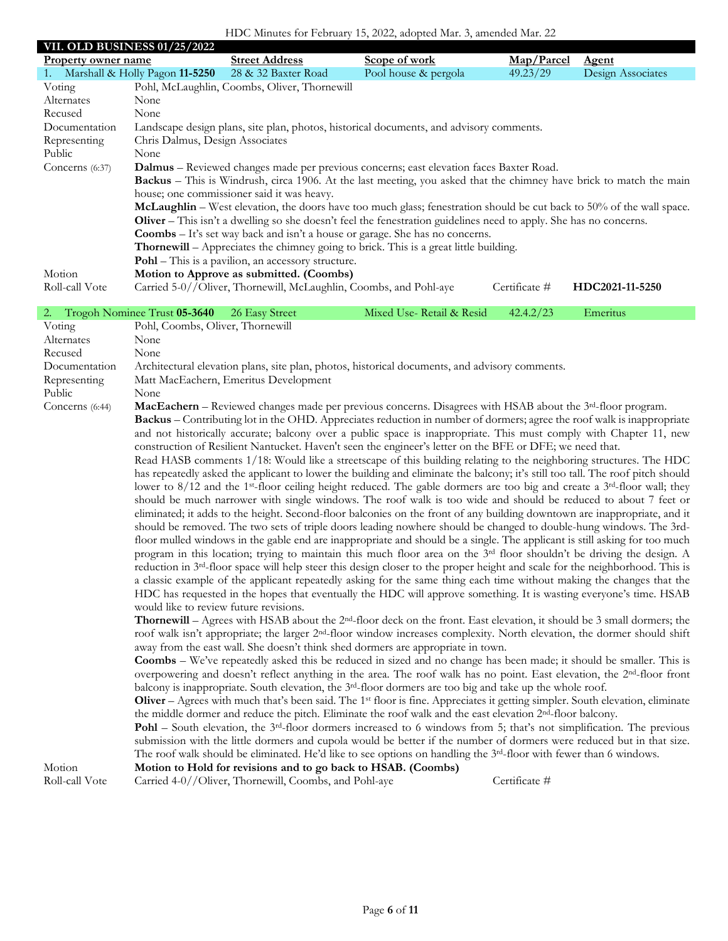## HDC Minutes for February 15, 2022, adopted Mar. 3, amended Mar. 22

| <b>Property owner name</b> | <b>VII. OLD BUSINESS 01/25/2022</b> | <b>Street Address</b>                                             | Scope of work                                                                                                                                                                                                                                                                      | Map/Parcel    | <b>Agent</b>      |
|----------------------------|-------------------------------------|-------------------------------------------------------------------|------------------------------------------------------------------------------------------------------------------------------------------------------------------------------------------------------------------------------------------------------------------------------------|---------------|-------------------|
| 1.                         | Marshall & Holly Pagon 11-5250      | 28 & 32 Baxter Road                                               | Pool house & pergola                                                                                                                                                                                                                                                               | 49.23/29      | Design Associates |
| Voting                     |                                     | Pohl, McLaughlin, Coombs, Oliver, Thornewill                      |                                                                                                                                                                                                                                                                                    |               |                   |
| Alternates                 | None                                |                                                                   |                                                                                                                                                                                                                                                                                    |               |                   |
| Recused                    | None                                |                                                                   |                                                                                                                                                                                                                                                                                    |               |                   |
| Documentation              |                                     |                                                                   | Landscape design plans, site plan, photos, historical documents, and advisory comments.                                                                                                                                                                                            |               |                   |
| Representing               | Chris Dalmus, Design Associates     |                                                                   |                                                                                                                                                                                                                                                                                    |               |                   |
| Public                     | None                                |                                                                   |                                                                                                                                                                                                                                                                                    |               |                   |
| Concerns (6:37)            |                                     |                                                                   | Dalmus - Reviewed changes made per previous concerns; east elevation faces Baxter Road.                                                                                                                                                                                            |               |                   |
|                            |                                     |                                                                   | Backus – This is Windrush, circa 1906. At the last meeting, you asked that the chimney have brick to match the main                                                                                                                                                                |               |                   |
|                            |                                     | house; one commissioner said it was heavy.                        |                                                                                                                                                                                                                                                                                    |               |                   |
|                            |                                     |                                                                   | McLaughlin - West elevation, the doors have too much glass; fenestration should be cut back to 50% of the wall space.                                                                                                                                                              |               |                   |
|                            |                                     |                                                                   | Oliver – This isn't a dwelling so she doesn't feel the fenestration guidelines need to apply. She has no concerns.                                                                                                                                                                 |               |                   |
|                            |                                     |                                                                   | <b>Coombs</b> – It's set way back and isn't a house or garage. She has no concerns.                                                                                                                                                                                                |               |                   |
|                            |                                     | Pohl - This is a pavilion, an accessory structure.                | <b>Thornewill</b> – Appreciates the chimney going to brick. This is a great little building.                                                                                                                                                                                       |               |                   |
| Motion                     |                                     | Motion to Approve as submitted. (Coombs)                          |                                                                                                                                                                                                                                                                                    |               |                   |
| Roll-call Vote             |                                     | Carried 5-0//Oliver, Thornewill, McLaughlin, Coombs, and Pohl-aye |                                                                                                                                                                                                                                                                                    | Certificate # | HDC2021-11-5250   |
|                            |                                     |                                                                   |                                                                                                                                                                                                                                                                                    |               |                   |
| 2.                         | Trogoh Nominee Trust 05-3640        | 26 Easy Street                                                    | Mixed Use-Retail & Resid                                                                                                                                                                                                                                                           | 42.4.2/23     | Emeritus          |
| Voting                     | Pohl, Coombs, Oliver, Thornewill    |                                                                   |                                                                                                                                                                                                                                                                                    |               |                   |
| Alternates                 | None                                |                                                                   |                                                                                                                                                                                                                                                                                    |               |                   |
| Recused                    | None                                |                                                                   |                                                                                                                                                                                                                                                                                    |               |                   |
| Documentation              |                                     |                                                                   | Architectural elevation plans, site plan, photos, historical documents, and advisory comments.                                                                                                                                                                                     |               |                   |
| Representing<br>Public     |                                     | Matt MacEachern, Emeritus Development                             |                                                                                                                                                                                                                                                                                    |               |                   |
| Concerns (6:44)            | None                                |                                                                   | MacEachern - Reviewed changes made per previous concerns. Disagrees with HSAB about the 3 <sup>rd</sup> -floor program.                                                                                                                                                            |               |                   |
|                            |                                     |                                                                   | Backus - Contributing lot in the OHD. Appreciates reduction in number of dormers; agree the roof walk is inappropriate                                                                                                                                                             |               |                   |
|                            |                                     |                                                                   | and not historically accurate; balcony over a public space is inappropriate. This must comply with Chapter 11, new                                                                                                                                                                 |               |                   |
|                            |                                     |                                                                   | construction of Resilient Nantucket. Haven't seen the engineer's letter on the BFE or DFE; we need that.                                                                                                                                                                           |               |                   |
|                            |                                     |                                                                   | Read HASB comments 1/18: Would like a streetscape of this building relating to the neighboring structures. The HDC                                                                                                                                                                 |               |                   |
|                            |                                     |                                                                   | has repeatedly asked the applicant to lower the building and eliminate the balcony; it's still too tall. The roof pitch should                                                                                                                                                     |               |                   |
|                            |                                     |                                                                   | lower to 8/12 and the 1 <sup>st</sup> -floor ceiling height reduced. The gable dormers are too big and create a 3 <sup>rd</sup> -floor wall; they                                                                                                                                  |               |                   |
|                            |                                     |                                                                   | should be much narrower with single windows. The roof walk is too wide and should be reduced to about 7 feet or                                                                                                                                                                    |               |                   |
|                            |                                     |                                                                   | eliminated; it adds to the height. Second-floor balconies on the front of any building downtown are inappropriate, and it                                                                                                                                                          |               |                   |
|                            |                                     |                                                                   | should be removed. The two sets of triple doors leading nowhere should be changed to double-hung windows. The 3rd-                                                                                                                                                                 |               |                   |
|                            |                                     |                                                                   | floor mulled windows in the gable end are inappropriate and should be a single. The applicant is still asking for too much                                                                                                                                                         |               |                   |
|                            |                                     |                                                                   | program in this location; trying to maintain this much floor area on the 3 <sup>rd</sup> floor shouldn't be driving the design. A                                                                                                                                                  |               |                   |
|                            |                                     |                                                                   | reduction in 3 <sup>rd</sup> -floor space will help steer this design closer to the proper height and scale for the neighborhood. This is                                                                                                                                          |               |                   |
|                            |                                     |                                                                   | a classic example of the applicant repeatedly asking for the same thing each time without making the changes that the                                                                                                                                                              |               |                   |
|                            |                                     |                                                                   | HDC has requested in the hopes that eventually the HDC will approve something. It is wasting everyone's time. HSAB                                                                                                                                                                 |               |                   |
|                            |                                     | would like to review future revisions.                            |                                                                                                                                                                                                                                                                                    |               |                   |
|                            |                                     |                                                                   | <b>Thornewill</b> – Agrees with HSAB about the 2 <sup>nd</sup> -floor deck on the front. East elevation, it should be 3 small dormers; the<br>roof walk isn't appropriate; the larger 2 <sup>nd</sup> -floor window increases complexity. North elevation, the dormer should shift |               |                   |
|                            |                                     |                                                                   | away from the east wall. She doesn't think shed dormers are appropriate in town.                                                                                                                                                                                                   |               |                   |
|                            |                                     |                                                                   | <b>Coombs</b> – We've repeatedly asked this be reduced in sized and no change has been made; it should be smaller. This is                                                                                                                                                         |               |                   |
|                            |                                     |                                                                   | overpowering and doesn't reflect anything in the area. The roof walk has no point. East elevation, the 2 <sup>nd</sup> -floor front                                                                                                                                                |               |                   |
|                            |                                     |                                                                   | balcony is inappropriate. South elevation, the $3rd$ -floor dormers are too big and take up the whole roof.                                                                                                                                                                        |               |                   |
|                            |                                     |                                                                   | Oliver - Agrees with much that's been said. The 1 <sup>st</sup> floor is fine. Appreciates it getting simpler. South elevation, eliminate                                                                                                                                          |               |                   |
|                            |                                     |                                                                   | the middle dormer and reduce the pitch. Eliminate the roof walk and the east elevation 2 <sup>nd</sup> -floor balcony.                                                                                                                                                             |               |                   |
|                            |                                     |                                                                   | <b>Pohl</b> – South elevation, the $3^{rd}$ -floor dormers increased to 6 windows from 5; that's not simplification. The previous                                                                                                                                                  |               |                   |
|                            |                                     |                                                                   | submission with the little dormers and cupola would be better if the number of dormers were reduced but in that size.                                                                                                                                                              |               |                   |
|                            |                                     |                                                                   | The roof walk should be eliminated. He'd like to see options on handling the $3^{rd}$ -floor with fewer than 6 windows.                                                                                                                                                            |               |                   |
| Motion                     |                                     | Motion to Hold for revisions and to go back to HSAB. (Coombs)     |                                                                                                                                                                                                                                                                                    |               |                   |
| Roll-call Vote             |                                     | Carried 4-0//Oliver, Thornewill, Coombs, and Pohl-aye             |                                                                                                                                                                                                                                                                                    | Certificate # |                   |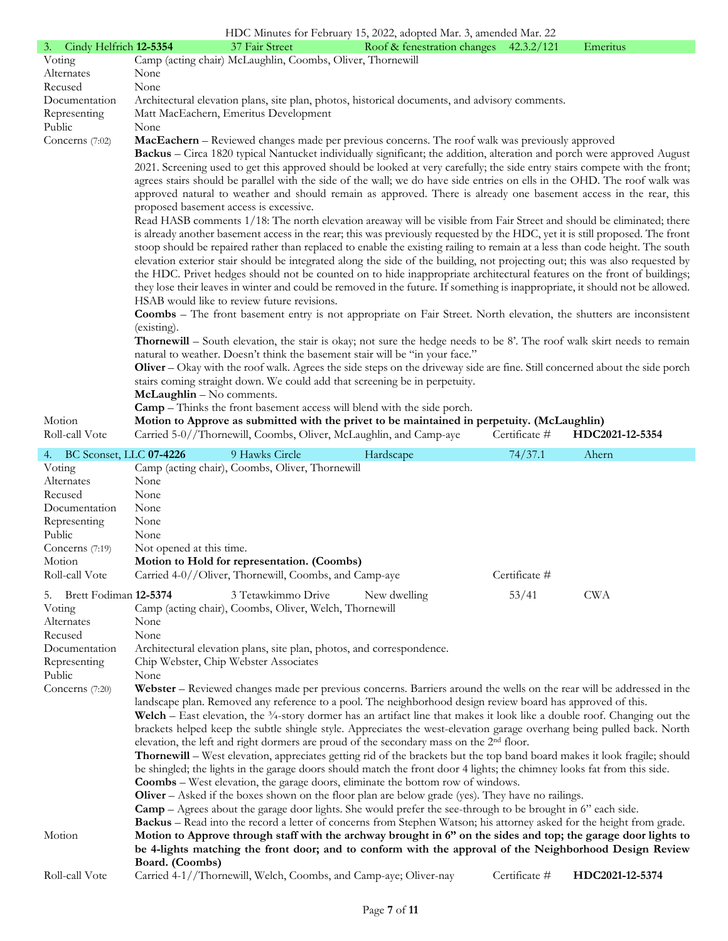|                                                                                                                                                                                                                                                                                                                                                                                                                                                                                                                                                                                                                                                                                                                                                                                                                                                                                                                                                                                                                                                                                                                                                                                                                                                                                                                                                                                                                                                                                                                                                                                                                                                                                                                                                                                                                                                                                                                                                                                                                                                                                                                                                                                                                                                                                                                     |                                                                  |                                                                                                                                                                          | HDC Minutes for February 15, 2022, adopted Mar. 3, amended Mar. 22                                                                                                                                                                                                                                                                                                                  |               |                 |
|---------------------------------------------------------------------------------------------------------------------------------------------------------------------------------------------------------------------------------------------------------------------------------------------------------------------------------------------------------------------------------------------------------------------------------------------------------------------------------------------------------------------------------------------------------------------------------------------------------------------------------------------------------------------------------------------------------------------------------------------------------------------------------------------------------------------------------------------------------------------------------------------------------------------------------------------------------------------------------------------------------------------------------------------------------------------------------------------------------------------------------------------------------------------------------------------------------------------------------------------------------------------------------------------------------------------------------------------------------------------------------------------------------------------------------------------------------------------------------------------------------------------------------------------------------------------------------------------------------------------------------------------------------------------------------------------------------------------------------------------------------------------------------------------------------------------------------------------------------------------------------------------------------------------------------------------------------------------------------------------------------------------------------------------------------------------------------------------------------------------------------------------------------------------------------------------------------------------------------------------------------------------------------------------------------------------|------------------------------------------------------------------|--------------------------------------------------------------------------------------------------------------------------------------------------------------------------|-------------------------------------------------------------------------------------------------------------------------------------------------------------------------------------------------------------------------------------------------------------------------------------------------------------------------------------------------------------------------------------|---------------|-----------------|
| 3. Cindy Helfrich 12-5354                                                                                                                                                                                                                                                                                                                                                                                                                                                                                                                                                                                                                                                                                                                                                                                                                                                                                                                                                                                                                                                                                                                                                                                                                                                                                                                                                                                                                                                                                                                                                                                                                                                                                                                                                                                                                                                                                                                                                                                                                                                                                                                                                                                                                                                                                           |                                                                  | 37 Fair Street                                                                                                                                                           | Roof & fenestration changes 42.3.2/121                                                                                                                                                                                                                                                                                                                                              |               | Emeritus        |
| Voting                                                                                                                                                                                                                                                                                                                                                                                                                                                                                                                                                                                                                                                                                                                                                                                                                                                                                                                                                                                                                                                                                                                                                                                                                                                                                                                                                                                                                                                                                                                                                                                                                                                                                                                                                                                                                                                                                                                                                                                                                                                                                                                                                                                                                                                                                                              |                                                                  | Camp (acting chair) McLaughlin, Coombs, Oliver, Thornewill                                                                                                               |                                                                                                                                                                                                                                                                                                                                                                                     |               |                 |
| Alternates                                                                                                                                                                                                                                                                                                                                                                                                                                                                                                                                                                                                                                                                                                                                                                                                                                                                                                                                                                                                                                                                                                                                                                                                                                                                                                                                                                                                                                                                                                                                                                                                                                                                                                                                                                                                                                                                                                                                                                                                                                                                                                                                                                                                                                                                                                          | None                                                             |                                                                                                                                                                          |                                                                                                                                                                                                                                                                                                                                                                                     |               |                 |
| Recused                                                                                                                                                                                                                                                                                                                                                                                                                                                                                                                                                                                                                                                                                                                                                                                                                                                                                                                                                                                                                                                                                                                                                                                                                                                                                                                                                                                                                                                                                                                                                                                                                                                                                                                                                                                                                                                                                                                                                                                                                                                                                                                                                                                                                                                                                                             | None                                                             |                                                                                                                                                                          |                                                                                                                                                                                                                                                                                                                                                                                     |               |                 |
| Documentation                                                                                                                                                                                                                                                                                                                                                                                                                                                                                                                                                                                                                                                                                                                                                                                                                                                                                                                                                                                                                                                                                                                                                                                                                                                                                                                                                                                                                                                                                                                                                                                                                                                                                                                                                                                                                                                                                                                                                                                                                                                                                                                                                                                                                                                                                                       |                                                                  |                                                                                                                                                                          | Architectural elevation plans, site plan, photos, historical documents, and advisory comments.                                                                                                                                                                                                                                                                                      |               |                 |
| Representing                                                                                                                                                                                                                                                                                                                                                                                                                                                                                                                                                                                                                                                                                                                                                                                                                                                                                                                                                                                                                                                                                                                                                                                                                                                                                                                                                                                                                                                                                                                                                                                                                                                                                                                                                                                                                                                                                                                                                                                                                                                                                                                                                                                                                                                                                                        |                                                                  | Matt MacEachern, Emeritus Development                                                                                                                                    |                                                                                                                                                                                                                                                                                                                                                                                     |               |                 |
| Public                                                                                                                                                                                                                                                                                                                                                                                                                                                                                                                                                                                                                                                                                                                                                                                                                                                                                                                                                                                                                                                                                                                                                                                                                                                                                                                                                                                                                                                                                                                                                                                                                                                                                                                                                                                                                                                                                                                                                                                                                                                                                                                                                                                                                                                                                                              | None                                                             |                                                                                                                                                                          |                                                                                                                                                                                                                                                                                                                                                                                     |               |                 |
| MacEachern - Reviewed changes made per previous concerns. The roof walk was previously approved<br>Concerns $(7:02)$<br>Backus - Circa 1820 typical Nantucket individually significant; the addition, alteration and porch were approved August<br>2021. Screening used to get this approved should be looked at very carefully; the side entry stairs compete with the front;<br>agrees stairs should be parallel with the side of the wall; we do have side entries on ells in the OHD. The roof walk was<br>approved natural to weather and should remain as approved. There is already one basement access in the rear, this<br>proposed basement access is excessive.<br>Read HASB comments 1/18: The north elevation areaway will be visible from Fair Street and should be eliminated; there<br>is already another basement access in the rear; this was previously requested by the HDC, yet it is still proposed. The front<br>stoop should be repaired rather than replaced to enable the existing railing to remain at a less than code height. The south<br>elevation exterior stair should be integrated along the side of the building, not projecting out; this was also requested by<br>the HDC. Privet hedges should not be counted on to hide inappropriate architectural features on the front of buildings;<br>they lose their leaves in winter and could be removed in the future. If something is inappropriate, it should not be allowed.<br>HSAB would like to review future revisions.<br><b>Coombs</b> – The front basement entry is not appropriate on Fair Street. North elevation, the shutters are inconsistent<br>(existing).<br><b>Thornewill</b> – South elevation, the stair is okay; not sure the hedge needs to be 8'. The roof walk skirt needs to remain<br>natural to weather. Doesn't think the basement stair will be "in your face."<br>Oliver – Okay with the roof walk. Agrees the side steps on the driveway side are fine. Still concerned about the side porch<br>stairs coming straight down. We could add that screening be in perpetuity.<br>McLaughlin - No comments.<br><b>Camp</b> – Thinks the front basement access will blend with the side porch.<br>Motion to Approve as submitted with the privet to be maintained in perpetuity. (McLaughlin)<br>Motion |                                                                  |                                                                                                                                                                          |                                                                                                                                                                                                                                                                                                                                                                                     |               |                 |
| Roll-call Vote                                                                                                                                                                                                                                                                                                                                                                                                                                                                                                                                                                                                                                                                                                                                                                                                                                                                                                                                                                                                                                                                                                                                                                                                                                                                                                                                                                                                                                                                                                                                                                                                                                                                                                                                                                                                                                                                                                                                                                                                                                                                                                                                                                                                                                                                                                      |                                                                  |                                                                                                                                                                          | Carried 5-0//Thornewill, Coombs, Oliver, McLaughlin, and Camp-aye                                                                                                                                                                                                                                                                                                                   | Certificate # | HDC2021-12-5354 |
| BC Sconset, LLC 07-4226<br>4.                                                                                                                                                                                                                                                                                                                                                                                                                                                                                                                                                                                                                                                                                                                                                                                                                                                                                                                                                                                                                                                                                                                                                                                                                                                                                                                                                                                                                                                                                                                                                                                                                                                                                                                                                                                                                                                                                                                                                                                                                                                                                                                                                                                                                                                                                       |                                                                  | 9 Hawks Circle                                                                                                                                                           | Hardscape                                                                                                                                                                                                                                                                                                                                                                           | 74/37.1       | Ahern           |
| Voting<br>Alternates<br>Recused<br>Documentation<br>Representing<br>Public<br>Concerns $(7:19)$<br>Motion<br>Roll-call Vote                                                                                                                                                                                                                                                                                                                                                                                                                                                                                                                                                                                                                                                                                                                                                                                                                                                                                                                                                                                                                                                                                                                                                                                                                                                                                                                                                                                                                                                                                                                                                                                                                                                                                                                                                                                                                                                                                                                                                                                                                                                                                                                                                                                         | None<br>None<br>None<br>None<br>None<br>Not opened at this time. | Camp (acting chair), Coombs, Oliver, Thornewill<br>Motion to Hold for representation. (Coombs)<br>Carried 4-0//Oliver, Thornewill, Coombs, and Camp-aye                  |                                                                                                                                                                                                                                                                                                                                                                                     | Certificate # |                 |
| Brett Fodiman 12-5374<br>5.                                                                                                                                                                                                                                                                                                                                                                                                                                                                                                                                                                                                                                                                                                                                                                                                                                                                                                                                                                                                                                                                                                                                                                                                                                                                                                                                                                                                                                                                                                                                                                                                                                                                                                                                                                                                                                                                                                                                                                                                                                                                                                                                                                                                                                                                                         |                                                                  | 3 Tetawkimmo Drive                                                                                                                                                       | New dwelling                                                                                                                                                                                                                                                                                                                                                                        | 53/41         | <b>CWA</b>      |
| Voting<br>Alternates<br>Recused<br>Documentation<br>Representing<br>Public<br>Concerns (7:20)                                                                                                                                                                                                                                                                                                                                                                                                                                                                                                                                                                                                                                                                                                                                                                                                                                                                                                                                                                                                                                                                                                                                                                                                                                                                                                                                                                                                                                                                                                                                                                                                                                                                                                                                                                                                                                                                                                                                                                                                                                                                                                                                                                                                                       | None<br>None<br>None                                             | Camp (acting chair), Coombs, Oliver, Welch, Thornewill<br>Architectural elevation plans, site plan, photos, and correspondence.<br>Chip Webster, Chip Webster Associates | Webster – Reviewed changes made per previous concerns. Barriers around the wells on the rear will be addressed in the<br>landscape plan. Removed any reference to a pool. The neighborhood design review board has approved of this.<br><b>Welch</b> – East elevation, the $\frac{3}{4}$ -story dormer has an artifact line that makes it look like a double roof. Changing out the |               |                 |
| brackets helped keep the subtle shingle style. Appreciates the west-elevation garage overhang being pulled back. North<br>elevation, the left and right dormers are proud of the secondary mass on the 2 <sup>nd</sup> floor.<br><b>Thornewill</b> – West elevation, appreciates getting rid of the brackets but the top band board makes it look fragile; should<br>be shingled; the lights in the garage doors should match the front door 4 lights; the chimney looks fat from this side.<br><b>Coombs</b> – West elevation, the garage doors, eliminate the bottom row of windows.<br><b>Oliver</b> – Asked if the boxes shown on the floor plan are below grade (yes). They have no railings.<br><b>Camp</b> – Agrees about the garage door lights. She would prefer the see-through to be brought in 6" each side.<br><b>Backus</b> – Read into the record a letter of concerns from Stephen Watson; his attorney asked for the height from grade.<br>Motion<br>Motion to Approve through staff with the archway brought in 6" on the sides and top; the garage door lights to<br>be 4-lights matching the front door; and to conform with the approval of the Neighborhood Design Review<br>Board. (Coombs)<br>Certificate #<br>Roll-call Vote<br>Carried 4-1//Thornewill, Welch, Coombs, and Camp-aye; Oliver-nay<br>HDC2021-12-5374                                                                                                                                                                                                                                                                                                                                                                                                                                                                                                                                                                                                                                                                                                                                                                                                                                                                                                                                                                        |                                                                  |                                                                                                                                                                          |                                                                                                                                                                                                                                                                                                                                                                                     |               |                 |
|                                                                                                                                                                                                                                                                                                                                                                                                                                                                                                                                                                                                                                                                                                                                                                                                                                                                                                                                                                                                                                                                                                                                                                                                                                                                                                                                                                                                                                                                                                                                                                                                                                                                                                                                                                                                                                                                                                                                                                                                                                                                                                                                                                                                                                                                                                                     |                                                                  |                                                                                                                                                                          |                                                                                                                                                                                                                                                                                                                                                                                     |               |                 |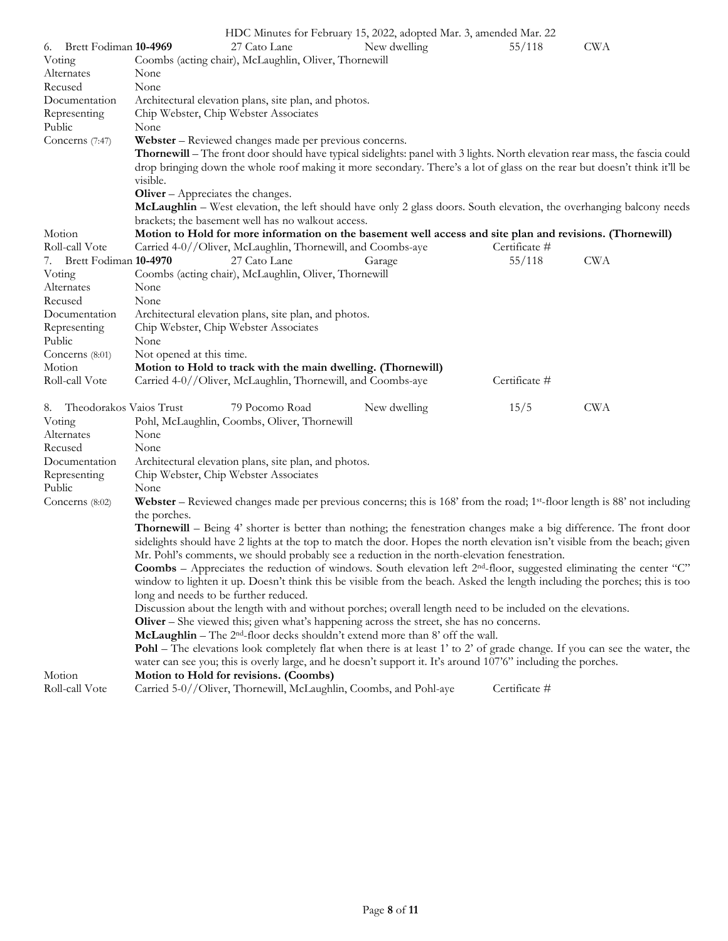|                               |                                                                                                                                  | HDC Minutes for February 15, 2022, adopted Mar. 3, amended Mar. 22 |               |            |
|-------------------------------|----------------------------------------------------------------------------------------------------------------------------------|--------------------------------------------------------------------|---------------|------------|
| 6. Brett Fodiman 10-4969      | 27 Cato Lane                                                                                                                     | New dwelling                                                       | 55/118        | <b>CWA</b> |
| Voting                        | Coombs (acting chair), McLaughlin, Oliver, Thornewill                                                                            |                                                                    |               |            |
| Alternates                    | None                                                                                                                             |                                                                    |               |            |
| Recused                       | None                                                                                                                             |                                                                    |               |            |
| Documentation                 | Architectural elevation plans, site plan, and photos.                                                                            |                                                                    |               |            |
| Representing                  | Chip Webster, Chip Webster Associates                                                                                            |                                                                    |               |            |
| Public                        | None                                                                                                                             |                                                                    |               |            |
| Concerns (7:47)               | Webster – Reviewed changes made per previous concerns.                                                                           |                                                                    |               |            |
|                               | Thornewill - The front door should have typical sidelights: panel with 3 lights. North elevation rear mass, the fascia could     |                                                                    |               |            |
|                               | drop bringing down the whole roof making it more secondary. There's a lot of glass on the rear but doesn't think it'll be        |                                                                    |               |            |
|                               | visible.                                                                                                                         |                                                                    |               |            |
|                               | <b>Oliver</b> – Appreciates the changes.                                                                                         |                                                                    |               |            |
|                               | McLaughlin - West elevation, the left should have only 2 glass doors. South elevation, the overhanging balcony needs             |                                                                    |               |            |
|                               | brackets; the basement well has no walkout access.                                                                               |                                                                    |               |            |
| Motion                        | Motion to Hold for more information on the basement well access and site plan and revisions. (Thornewill)                        |                                                                    |               |            |
| Roll-call Vote                | Carried 4-0//Oliver, McLaughlin, Thornewill, and Coombs-aye                                                                      |                                                                    | Certificate # |            |
| 7. Brett Fodiman 10-4970      | 27 Cato Lane                                                                                                                     | Garage                                                             | 55/118        | <b>CWA</b> |
| Voting                        | Coombs (acting chair), McLaughlin, Oliver, Thornewill                                                                            |                                                                    |               |            |
| Alternates                    | None                                                                                                                             |                                                                    |               |            |
| Recused                       | None                                                                                                                             |                                                                    |               |            |
| Documentation                 | Architectural elevation plans, site plan, and photos.                                                                            |                                                                    |               |            |
| Representing                  | Chip Webster, Chip Webster Associates                                                                                            |                                                                    |               |            |
| Public                        | None                                                                                                                             |                                                                    |               |            |
| Concerns (8:01)               | Not opened at this time.                                                                                                         |                                                                    |               |            |
| Motion                        | Motion to Hold to track with the main dwelling. (Thornewill)                                                                     |                                                                    |               |            |
| Roll-call Vote                | Carried 4-0//Oliver, McLaughlin, Thornewill, and Coombs-aye                                                                      |                                                                    | Certificate # |            |
| 8.<br>Theodorakos Vaios Trust | 79 Pocomo Road                                                                                                                   | New dwelling                                                       | 15/5          | <b>CWA</b> |
| Voting                        | Pohl, McLaughlin, Coombs, Oliver, Thornewill                                                                                     |                                                                    |               |            |
| Alternates                    | None                                                                                                                             |                                                                    |               |            |
| Recused                       | None                                                                                                                             |                                                                    |               |            |
| Documentation                 | Architectural elevation plans, site plan, and photos.                                                                            |                                                                    |               |            |
| Representing                  | Chip Webster, Chip Webster Associates                                                                                            |                                                                    |               |            |
| Public                        | None                                                                                                                             |                                                                    |               |            |
| Concerns (8:02)               | Webster – Reviewed changes made per previous concerns; this is $168'$ from the road; $1st$ -floor length is $88'$ not including  |                                                                    |               |            |
|                               | the porches.                                                                                                                     |                                                                    |               |            |
|                               | <b>Thornewill</b> – Being 4' shorter is better than nothing; the fenestration changes make a big difference. The front door      |                                                                    |               |            |
|                               | sidelights should have 2 lights at the top to match the door. Hopes the north elevation isn't visible from the beach; given      |                                                                    |               |            |
|                               | Mr. Pohl's comments, we should probably see a reduction in the north-elevation fenestration.                                     |                                                                    |               |            |
|                               | <b>Coombs</b> – Appreciates the reduction of windows. South elevation left $2nd$ -floor, suggested eliminating the center "C"    |                                                                    |               |            |
|                               | window to lighten it up. Doesn't think this be visible from the beach. Asked the length including the porches; this is too       |                                                                    |               |            |
|                               | long and needs to be further reduced.                                                                                            |                                                                    |               |            |
|                               | Discussion about the length with and without porches; overall length need to be included on the elevations.                      |                                                                    |               |            |
|                               | <b>Oliver</b> – She viewed this; given what's happening across the street, she has no concerns.                                  |                                                                    |               |            |
|                               | McLaughlin - The 2 <sup>nd</sup> -floor decks shouldn't extend more than 8' off the wall.                                        |                                                                    |               |            |
|                               | <b>Pohl</b> – The elevations look completely flat when there is at least 1' to 2' of grade change. If you can see the water, the |                                                                    |               |            |
|                               | water can see you; this is overly large, and he doesn't support it. It's around 107'6" including the porches.                    |                                                                    |               |            |
| Motion                        | Motion to Hold for revisions. (Coombs)                                                                                           |                                                                    |               |            |
| Roll-call Vote                | Carried 5-0//Oliver, Thornewill, McLaughlin, Coombs, and Pohl-aye                                                                |                                                                    | Certificate # |            |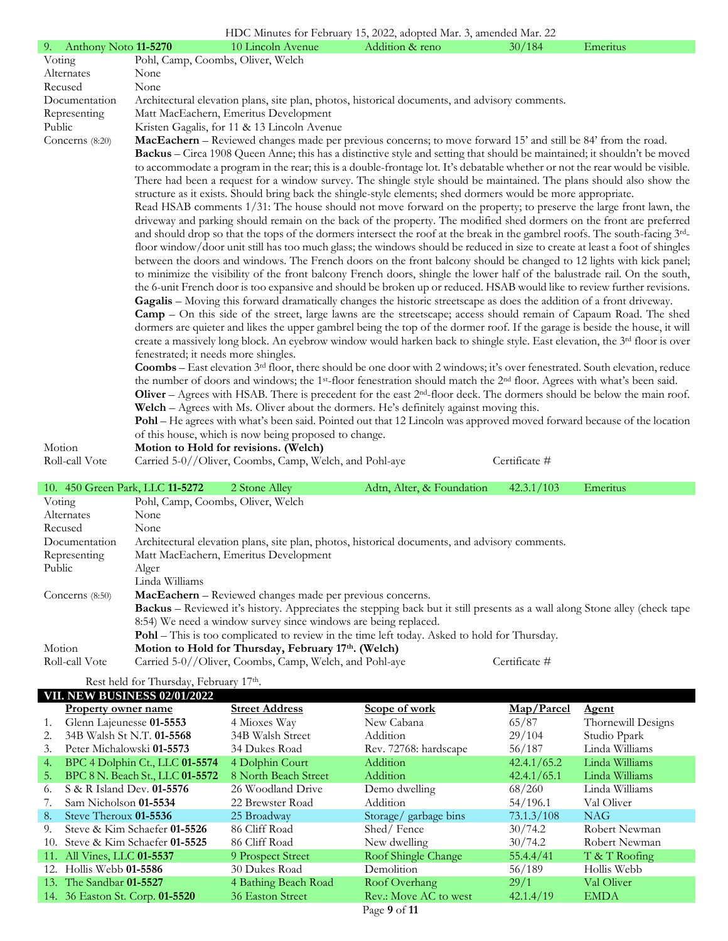| HDC Minutes for February 15, 2022, adopted Mar. 3, amended Mar. 22 |                                                                                                                                                |                           |               |          |  |  |  |
|--------------------------------------------------------------------|------------------------------------------------------------------------------------------------------------------------------------------------|---------------------------|---------------|----------|--|--|--|
| 9. Anthony Noto 11-5270                                            | 10 Lincoln Avenue                                                                                                                              | Addition & reno           | 30/184        | Emeritus |  |  |  |
| Voting                                                             | Pohl, Camp, Coombs, Oliver, Welch                                                                                                              |                           |               |          |  |  |  |
| Alternates                                                         | None                                                                                                                                           |                           |               |          |  |  |  |
| Recused                                                            | None                                                                                                                                           |                           |               |          |  |  |  |
| Documentation                                                      | Architectural elevation plans, site plan, photos, historical documents, and advisory comments.                                                 |                           |               |          |  |  |  |
| Representing                                                       | Matt MacEachern, Emeritus Development                                                                                                          |                           |               |          |  |  |  |
| Public                                                             | Kristen Gagalis, for 11 & 13 Lincoln Avenue                                                                                                    |                           |               |          |  |  |  |
| Concerns $(8:20)$                                                  | MacEachern - Reviewed changes made per previous concerns; to move forward 15' and still be 84' from the road.                                  |                           |               |          |  |  |  |
|                                                                    | Backus - Circa 1908 Queen Anne; this has a distinctive style and setting that should be maintained; it shouldn't be moved                      |                           |               |          |  |  |  |
|                                                                    | to accommodate a program in the rear; this is a double-frontage lot. It's debatable whether or not the rear would be visible.                  |                           |               |          |  |  |  |
|                                                                    | There had been a request for a window survey. The shingle style should be maintained. The plans should also show the                           |                           |               |          |  |  |  |
|                                                                    | structure as it exists. Should bring back the shingle-style elements; shed dormers would be more appropriate.                                  |                           |               |          |  |  |  |
|                                                                    | Read HSAB comments 1/31: The house should not move forward on the property; to preserve the large front lawn, the                              |                           |               |          |  |  |  |
|                                                                    | driveway and parking should remain on the back of the property. The modified shed dormers on the front are preferred                           |                           |               |          |  |  |  |
|                                                                    | and should drop so that the tops of the dormers intersect the roof at the break in the gambrel roofs. The south-facing 3rd-                    |                           |               |          |  |  |  |
|                                                                    | floor window/door unit still has too much glass; the windows should be reduced in size to create at least a foot of shingles                   |                           |               |          |  |  |  |
|                                                                    | between the doors and windows. The French doors on the front balcony should be changed to 12 lights with kick panel;                           |                           |               |          |  |  |  |
|                                                                    | to minimize the visibility of the front balcony French doors, shingle the lower half of the balustrade rail. On the south,                     |                           |               |          |  |  |  |
|                                                                    | the 6-unit French door is too expansive and should be broken up or reduced. HSAB would like to review further revisions.                       |                           |               |          |  |  |  |
|                                                                    | Gagalis - Moving this forward dramatically changes the historic streetscape as does the addition of a front driveway.                          |                           |               |          |  |  |  |
|                                                                    | <b>Camp</b> – On this side of the street, large lawns are the streetscape; access should remain of Capaum Road. The shed                       |                           |               |          |  |  |  |
|                                                                    | dormers are quieter and likes the upper gambrel being the top of the dormer roof. If the garage is beside the house, it will                   |                           |               |          |  |  |  |
|                                                                    | create a massively long block. An eyebrow window would harken back to shingle style. East elevation, the 3 <sup>rd</sup> floor is over         |                           |               |          |  |  |  |
|                                                                    | fenestrated; it needs more shingles.                                                                                                           |                           |               |          |  |  |  |
|                                                                    | Coombs - East elevation 3 <sup>rd</sup> floor, there should be one door with 2 windows; it's over fenestrated. South elevation, reduce         |                           |               |          |  |  |  |
|                                                                    | the number of doors and windows; the 1 <sup>st</sup> -floor fenestration should match the 2 <sup>nd</sup> floor. Agrees with what's been said. |                           |               |          |  |  |  |
|                                                                    | Oliver $-$ Agrees with HSAB. There is precedent for the east $2nd$ -floor deck. The dormers should be below the main roof.                     |                           |               |          |  |  |  |
|                                                                    | Welch – Agrees with Ms. Oliver about the dormers. He's definitely against moving this.                                                         |                           |               |          |  |  |  |
|                                                                    | Pohl – He agrees with what's been said. Pointed out that 12 Lincoln was approved moved forward because of the location                         |                           |               |          |  |  |  |
| Motion                                                             | of this house, which is now being proposed to change.<br>Motion to Hold for revisions. (Welch)                                                 |                           |               |          |  |  |  |
| Roll-call Vote                                                     | Carried 5-0//Oliver, Coombs, Camp, Welch, and Pohl-aye                                                                                         |                           | Certificate # |          |  |  |  |
|                                                                    |                                                                                                                                                |                           |               |          |  |  |  |
| 10. 450 Green Park, LLC 11-5272                                    | 2 Stone Alley                                                                                                                                  | Adtn, Alter, & Foundation | 42.3.1/103    | Emeritus |  |  |  |
| Voting                                                             | Pohl, Camp, Coombs, Oliver, Welch                                                                                                              |                           |               |          |  |  |  |
| Alternates                                                         | None                                                                                                                                           |                           |               |          |  |  |  |
| Recused                                                            | None                                                                                                                                           |                           |               |          |  |  |  |
| Documentation                                                      | Architectural elevation plans, site plan, photos, historical documents, and advisory comments.                                                 |                           |               |          |  |  |  |
| Representing                                                       | Matt MacEachern, Emeritus Development                                                                                                          |                           |               |          |  |  |  |
| Public                                                             | Alger                                                                                                                                          |                           |               |          |  |  |  |
|                                                                    | Linda Williams                                                                                                                                 |                           |               |          |  |  |  |
| Concerns (8:50)                                                    | MacEachern - Reviewed changes made per previous concerns.                                                                                      |                           |               |          |  |  |  |
|                                                                    | <b>Backus</b> – Reviewed it's history. Appreciates the stepping back but it still presents as a wall along Stone alley (check tape             |                           |               |          |  |  |  |

Motion **Motion to Hold for Thursday, February 17th. (Welch)** Roll-call Vote Carried 5-0//Oliver, Coombs, Camp, Welch, and Pohl-aye Certificate #

8:54) We need a window survey since windows are being replaced.

## Rest held for Thursday, February 17th.

|     | VII. NEW BUSINESS 02/01/2022      |                       |                       |             |                    |
|-----|-----------------------------------|-----------------------|-----------------------|-------------|--------------------|
|     | <b>Property owner name</b>        | <b>Street Address</b> | Scope of work         | Map/Parcel  | <b>Agent</b>       |
|     | Glenn Lajeunesse 01-5553          | 4 Mioxes Way          | New Cabana            | 65/87       | Thornewill Designs |
|     | 34B Walsh St N.T. 01-5568         | 34B Walsh Street      | Addition              | 29/104      | Studio Ppark       |
| 3.  | Peter Michalowski 01-5573         | 34 Dukes Road         | Rev. 72768: hardscape | 56/187      | Linda Williams     |
| 4.  | BPC 4 Dolphin Ct., LLC 01-5574    | 4 Dolphin Court       | Addition              | 42.4.1/65.2 | Linda Williams     |
| 5.  | BPC 8 N. Beach St., LLC 01-5572   | 8 North Beach Street  | Addition              | 42.4.1/65.1 | Linda Williams     |
| 6.  | S & R Island Dev. 01-5576         | 26 Woodland Drive     | Demo dwelling         | 68/260      | Linda Williams     |
|     | Sam Nicholson 01-5534             | 22 Brewster Road      | Addition              | 54/196.1    | Val Oliver         |
| 8.  | Steve Theroux 01-5536             | 25 Broadway           | Storage/garbage bins  | 73.1.3/108  | <b>NAG</b>         |
| 9.  | Steve & Kim Schaefer 01-5526      | 86 Cliff Road         | Shed/Fence            | 30/74.2     | Robert Newman      |
| 10. | Steve & Kim Schaefer 01-5525      | 86 Cliff Road         | New dwelling          | 30/74.2     | Robert Newman      |
|     | 11. All Vines, LLC <b>01-5537</b> | 9 Prospect Street     | Roof Shingle Change   | 55.4.4/41   | $T$ & $T$ Roofing  |
|     | 12. Hollis Webb 01-5586           | 30 Dukes Road         | Demolition            | 56/189      | Hollis Webb        |
|     | 13. The Sandbar 01-5527           | 4 Bathing Beach Road  | Roof Overhang         | 29/1        | Val Oliver         |
|     | 14. 36 Easton St. Corp. 01-5520   | 36 Easton Street      | Rev.: Move AC to west | 42.1.4/19   | <b>EMDA</b>        |
|     |                                   |                       | Page 9 of 11          |             |                    |

**Pohl** – This is too complicated to review in the time left today. Asked to hold for Thursday.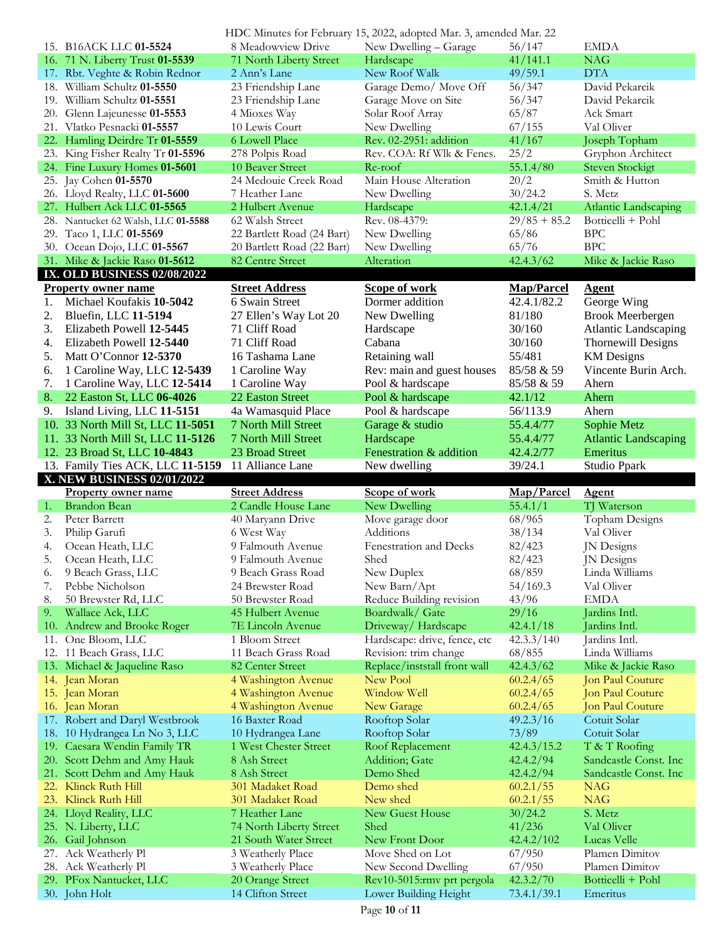|    |                                          | HDC Minutes for February 15, 2022, adopted Mar. 3, amended Mar. 22 |                                                     |                          |                               |
|----|------------------------------------------|--------------------------------------------------------------------|-----------------------------------------------------|--------------------------|-------------------------------|
|    | 15. B16ACK LLC 01-5524                   | 8 Meadowview Drive                                                 | New Dwelling - Garage                               | 56/147                   | <b>EMDA</b>                   |
|    | 16. 71 N. Liberty Trust 01-5539          | 71 North Liberty Street                                            | Hardscape                                           | 41/141.1                 | <b>NAG</b>                    |
|    | 17. Rbt. Veghte & Robin Rednor           | 2 Ann's Lane                                                       | New Roof Walk                                       | 49/59.1                  | <b>DTA</b>                    |
|    | 18. William Schultz 01-5550              | 23 Friendship Lane                                                 | Garage Demo/ Move Off                               | 56/347                   | David Pekarcik                |
|    | 19. William Schultz 01-5551              | 23 Friendship Lane                                                 | Garage Move on Site                                 | 56/347                   | David Pekarcik                |
|    |                                          |                                                                    |                                                     |                          |                               |
|    | 20. Glenn Lajeunesse 01-5553             | 4 Mioxes Way                                                       | Solar Roof Array                                    | 65/87                    | Ack Smart                     |
|    | 21. Vlatko Pesnacki 01-5557              | 10 Lewis Court                                                     | New Dwelling                                        | 67/155                   | Val Oliver                    |
|    | 22. Hamling Deirdre Tr 01-5559           | 6 Lowell Place                                                     | Rev. 02-2951: addition                              | 41/167                   | Joseph Topham                 |
|    | 23. King Fisher Realty Tr 01-5596        | 278 Polpis Road                                                    | Rev. COA: Rf Wlk & Fenes.                           | 25/2                     | Gryphon Architect             |
|    | 24. Fine Luxury Homes 01-5601            | 10 Beaver Street                                                   | Re-roof                                             | 55.1.4/80                | <b>Steven Stockigt</b>        |
|    | 25. Jay Cohen 01-5570                    | 24 Medouie Creek Road                                              | Main House Alteration                               | 20/2                     | Smith & Hutton                |
|    | 26. Lloyd Realty, LLC 01-5600            | 7 Heather Lane                                                     | New Dwelling                                        | 30/24.2                  | S. Metz                       |
|    | 27. Hulbert Ack LLC 01-5565              | 2 Hulbert Avenue                                                   | Hardscape                                           | 42.1.4/21                | Atlantic Landscaping          |
|    | 28. Nantucket 62 Walsh, LLC 01-5588      | 62 Walsh Street                                                    | Rev. 08-4379:                                       | $29/85 + 85.2$           | Botticelli + Pohl             |
|    |                                          |                                                                    |                                                     |                          | <b>BPC</b>                    |
|    | 29. Taco 1, LLC 01-5569                  | 22 Bartlett Road (24 Bart)                                         | New Dwelling                                        | 65/86                    |                               |
|    | 30. Ocean Dojo, LLC 01-5567              | 20 Bartlett Road (22 Bart)                                         | New Dwelling                                        | 65/76                    | <b>BPC</b>                    |
|    | 31. Mike & Jackie Raso 01-5612           | 82 Centre Street                                                   | Alteration                                          | 42.4.3/62                | Mike & Jackie Raso            |
|    | <b>IX. OLD BUSINESS 02/08/2022</b>       |                                                                    |                                                     |                          |                               |
|    | <b>Property owner name</b>               | <b>Street Address</b>                                              | <b>Scope of work</b>                                | <b>Map/Parcel</b>        | <b>Agent</b>                  |
| 1. | Michael Koufakis 10-5042                 | 6 Swain Street                                                     | Dormer addition                                     | 42.4.1/82.2              | George Wing                   |
| 2. | Bluefin, LLC 11-5194                     | 27 Ellen's Way Lot 20                                              | New Dwelling                                        | 81/180                   | <b>Brook Meerbergen</b>       |
| 3. | Elizabeth Powell 12-5445                 | 71 Cliff Road                                                      | Hardscape                                           | 30/160                   | <b>Atlantic Landscaping</b>   |
| 4. | Elizabeth Powell 12-5440                 | 71 Cliff Road                                                      | Cabana                                              |                          | <b>Thornewill Designs</b>     |
|    |                                          |                                                                    |                                                     | 30/160                   |                               |
| 5. | Matt O'Connor 12-5370                    | 16 Tashama Lane                                                    | Retaining wall                                      | 55/481                   | <b>KM</b> Designs             |
| 6. | 1 Caroline Way, LLC 12-5439              | 1 Caroline Way                                                     | Rev: main and guest houses                          | 85/58 & 59               | Vincente Burin Arch.          |
| 7. | 1 Caroline Way, LLC 12-5414              | 1 Caroline Way                                                     | Pool & hardscape                                    | 85/58 & 59               | Ahern                         |
| 8. | 22 Easton St, LLC 06-4026                | 22 Easton Street                                                   | Pool & hardscape                                    | 42.1/12                  | Ahern                         |
| 9. | Island Living, LLC 11-5151               | 4a Wamasquid Place                                                 | Pool & hardscape                                    | 56/113.9                 | Ahern                         |
|    | 10. 33 North Mill St, LLC 11-5051        | 7 North Mill Street                                                | Garage & studio                                     | 55.4.4/77                | Sophie Metz                   |
|    | 11. 33 North Mill St, LLC 11-5126        | 7 North Mill Street                                                | Hardscape                                           | 55.4.4/77                | <b>Atlantic Landscaping</b>   |
|    |                                          |                                                                    |                                                     |                          |                               |
|    | 12. 23 Broad St, LLC 10-4843             | 23 Broad Street                                                    | Fenestration & addition                             | 42.4.2/77                | Emeritus                      |
|    |                                          |                                                                    |                                                     |                          |                               |
|    | 13. Family Ties ACK, LLC 11-5159         | 11 Alliance Lane                                                   | New dwelling                                        | 39/24.1                  | Studio Ppark                  |
|    | X. NEW BUSINESS 02/01/2022               |                                                                    |                                                     |                          |                               |
|    | <b>Property owner name</b>               | <b>Street Address</b>                                              | Scope of work                                       | Map/Parcel               | <b>Agent</b>                  |
| 1. | <b>Brandon Bean</b>                      | 2 Candle House Lane                                                | New Dwelling                                        | 55.4.1/1                 | TJ Waterson                   |
| 2. | Peter Barrett                            | 40 Maryann Drive                                                   | Move garage door                                    | 68/965                   | Topham Designs                |
| 3. | Philip Garufi                            | 6 West Way                                                         | Additions                                           | 38/134                   | Val Oliver                    |
| 4. | Ocean Heath, LLC                         | 9 Falmouth Avenue                                                  | Fenestration and Decks                              | 82/423                   | JN Designs                    |
| 5. |                                          | 9 Falmouth Avenue                                                  |                                                     |                          |                               |
|    | Ocean Heath, LLC                         |                                                                    | Shed                                                | 82/423                   | JN Designs                    |
| 6. | 9 Beach Grass, LLC                       | 9 Beach Grass Road                                                 | New Duplex                                          | 68/859                   | Linda Williams                |
| 7. | Pebbe Nicholson                          | 24 Brewster Road                                                   | New Barn/Apt                                        | 54/169.3                 | Val Oliver                    |
| 8. | 50 Brewster Rd, LLC                      | 50 Brewster Road                                                   | Reduce Building revision                            | 43/96                    | <b>EMDA</b>                   |
| 9. | Wallace Ack, LLC                         | 45 Hulbert Avenue                                                  | Boardwalk/ Gate                                     | 29/16                    | Jardins Intl.                 |
|    | 10. Andrew and Brooke Roger              | 7E Lincoln Avenue                                                  | Driveway/Hardscape                                  | 42.4.1/18                | Jardins Intl.                 |
|    | 11. One Bloom, LLC                       | 1 Bloom Street                                                     | Hardscape: drive, fence, etc                        | 42.3.3/140               | Jardins Intl.                 |
|    | 12. 11 Beach Grass, LLC                  | 11 Beach Grass Road                                                | Revision: trim change                               | 68/855                   | Linda Williams                |
|    | 13. Michael & Jaqueline Raso             | 82 Center Street                                                   | Replace/inststall front wall                        | 42.4.3/62                | Mike & Jackie Raso            |
|    | 14. Jean Moran                           | 4 Washington Avenue                                                | New Pool                                            | 60.2.4/65                | Jon Paul Couture              |
|    | 15. Jean Moran                           | 4 Washington Avenue                                                | Window Well                                         | 60.2.4/65                | Jon Paul Couture              |
|    |                                          |                                                                    |                                                     |                          |                               |
|    | 16. Jean Moran                           | 4 Washington Avenue                                                | New Garage                                          | 60.2.4/65                | Jon Paul Couture              |
|    | 17. Robert and Daryl Westbrook           | 16 Baxter Road                                                     | Rooftop Solar                                       | 49.2.3/16                | Cotuit Solar                  |
|    | 18. 10 Hydrangea Ln No 3, LLC            | 10 Hydrangea Lane                                                  | Rooftop Solar                                       | 73/89                    | Cotuit Solar                  |
|    | 19. Caesara Wendin Family TR             | 1 West Chester Street                                              | Roof Replacement                                    | 42.4.3/15.2              | T & T Roofing                 |
|    | 20. Scott Dehm and Amy Hauk              | 8 Ash Street                                                       | Addition; Gate                                      | 42.4.2/94                | Sandcastle Const. Inc.        |
|    | 21. Scott Dehm and Amy Hauk              | 8 Ash Street                                                       | Demo Shed                                           | 42.4.2/94                | Sandcastle Const. Inc.        |
|    | 22. Klinck Ruth Hill                     | 301 Madaket Road                                                   | Demo shed                                           | 60.2.1/55                | <b>NAG</b>                    |
|    | 23. Klinck Ruth Hill                     | 301 Madaket Road                                                   | New shed                                            | 60.2.1/55                | <b>NAG</b>                    |
|    | 24. Lloyd Reality, LLC                   | 7 Heather Lane                                                     | New Guest House                                     | 30/24.2                  | S. Metz                       |
|    |                                          | 74 North Liberty Street                                            | Shed                                                | 41/236                   | Val Oliver                    |
|    | 25. N. Liberty, LLC                      |                                                                    |                                                     |                          |                               |
|    | 26. Gail Johnson                         | 21 South Water Street                                              | New Front Door                                      | 42.4.2/102               | <b>Lucas Velle</b>            |
|    | 27. Ack Weatherly Pl                     | 3 Weatherly Place                                                  | Move Shed on Lot                                    | 67/950                   | Plamen Dimitov                |
|    | 28. Ack Weatherly Pl                     | 3 Weatherly Place                                                  | New Second Dwelling                                 | 67/950                   | Plamen Dimitov                |
|    | 29. PFox Nantucket, LLC<br>30. John Holt | 20 Orange Street<br>14 Clifton Street                              | Rev10-5015:rmv prt pergola<br>Lower Building Height | 42.3.2/70<br>73.4.1/39.1 | Botticelli + Pohl<br>Emeritus |